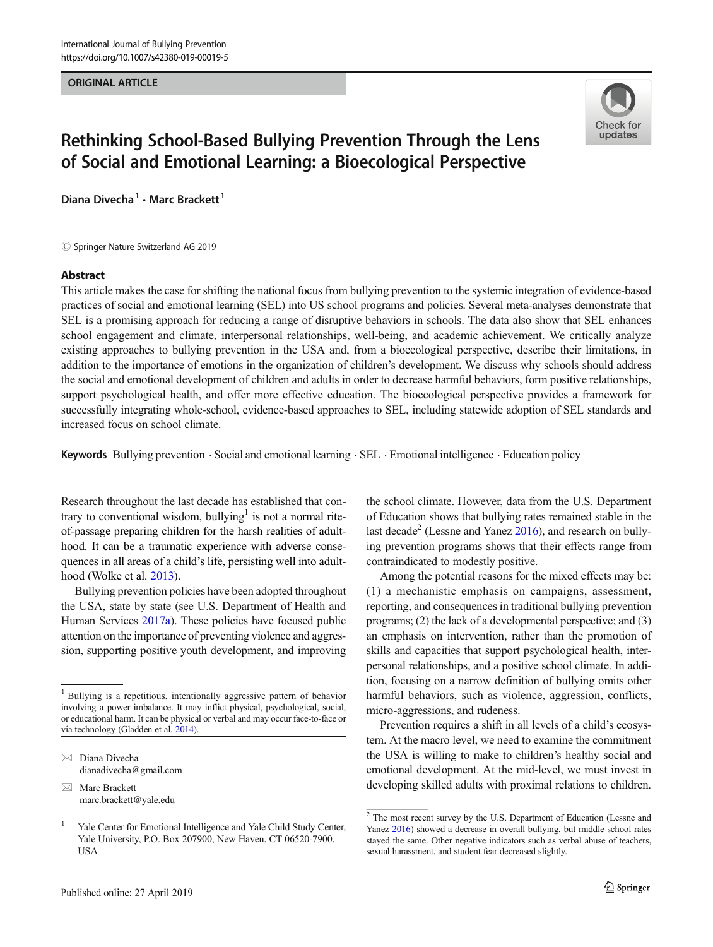### ORIGINAL ARTICLE



## Rethinking School-Based Bullying Prevention Through the Lens of Social and Emotional Learning: a Bioecological Perspective

Diana Divecha<sup>1</sup> . Marc Brackett<sup>1</sup>

 $\circled{c}$  Springer Nature Switzerland AG 2019

### Abstract

This article makes the case for shifting the national focus from bullying prevention to the systemic integration of evidence-based practices of social and emotional learning (SEL) into US school programs and policies. Several meta-analyses demonstrate that SEL is a promising approach for reducing a range of disruptive behaviors in schools. The data also show that SEL enhances school engagement and climate, interpersonal relationships, well-being, and academic achievement. We critically analyze existing approaches to bullying prevention in the USA and, from a bioecological perspective, describe their limitations, in addition to the importance of emotions in the organization of children's development. We discuss why schools should address the social and emotional development of children and adults in order to decrease harmful behaviors, form positive relationships, support psychological health, and offer more effective education. The bioecological perspective provides a framework for successfully integrating whole-school, evidence-based approaches to SEL, including statewide adoption of SEL standards and increased focus on school climate.

Keywords Bullying prevention . Social and emotional learning . SEL . Emotional intelligence . Education policy

Research throughout the last decade has established that contrary to conventional wisdom, bullying<sup>1</sup> is not a normal riteof-passage preparing children for the harsh realities of adulthood. It can be a traumatic experience with adverse consequences in all areas of a child's life, persisting well into adulthood (Wolke et al. [2013](#page-20-0)).

Bullying prevention policies have been adopted throughout the USA, state by state (see U.S. Department of Health and Human Services [2017a](#page-19-0)). These policies have focused public attention on the importance of preventing violence and aggression, supporting positive youth development, and improving

the school climate. However, data from the U.S. Department of Education shows that bullying rates remained stable in the last decade<sup>2</sup> (Lessne and Yanez  $2016$ ), and research on bullying prevention programs shows that their effects range from contraindicated to modestly positive.

Among the potential reasons for the mixed effects may be: (1) a mechanistic emphasis on campaigns, assessment, reporting, and consequences in traditional bullying prevention programs; (2) the lack of a developmental perspective; and (3) an emphasis on intervention, rather than the promotion of skills and capacities that support psychological health, interpersonal relationships, and a positive school climate. In addition, focusing on a narrow definition of bullying omits other harmful behaviors, such as violence, aggression, conflicts, micro-aggressions, and rudeness.

Prevention requires a shift in all levels of a child's ecosystem. At the macro level, we need to examine the commitment the USA is willing to make to children's healthy social and emotional development. At the mid-level, we must invest in developing skilled adults with proximal relations to children.

<sup>&</sup>lt;sup>1</sup> Bullying is a repetitious, intentionally aggressive pattern of behavior involving a power imbalance. It may inflict physical, psychological, social, or educational harm. It can be physical or verbal and may occur face-to-face or via technology (Gladden et al. [2014\)](#page-16-0).

 $\boxtimes$  Diana Divecha [dianadivecha@gmail.com](mailto:dianadivecha@gmail.com)

 $\boxtimes$  Marc Brackett [marc.brackett@yale.edu](mailto:marc.brackett@yale.edu)

Yale Center for Emotional Intelligence and Yale Child Study Center, Yale University, P.O. Box 207900, New Haven, CT 06520-7900, USA

<sup>&</sup>lt;sup>2</sup> The most recent survey by the U.S. Department of Education (Lessne and Yanez [2016](#page-17-0)) showed a decrease in overall bullying, but middle school rates stayed the same. Other negative indicators such as verbal abuse of teachers, sexual harassment, and student fear decreased slightly.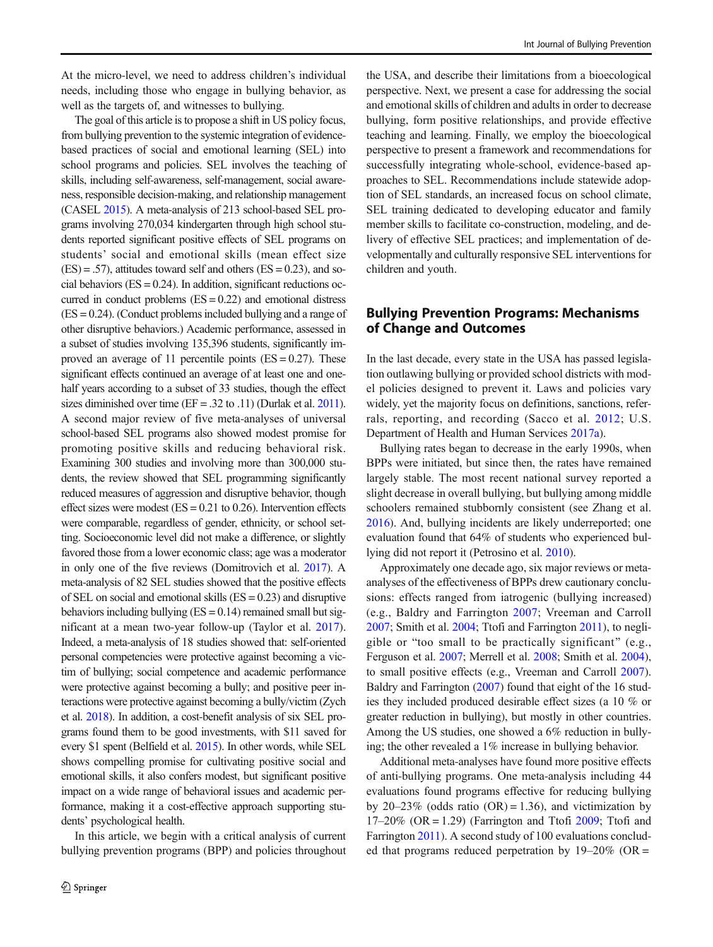At the micro-level, we need to address children's individual needs, including those who engage in bullying behavior, as well as the targets of, and witnesses to bullying.

The goal of this article is to propose a shift in US policy focus, from bullying prevention to the systemic integration of evidencebased practices of social and emotional learning (SEL) into school programs and policies. SEL involves the teaching of skills, including self-awareness, self-management, social awareness, responsible decision-making, and relationship management (CASEL [2015](#page-14-0)). A meta-analysis of 213 school-based SEL programs involving 270,034 kindergarten through high school students reported significant positive effects of SEL programs on students' social and emotional skills (mean effect size  $(ES) = .57$ ), attitudes toward self and others  $(ES = 0.23)$ , and social behaviors  $(ES = 0.24)$ . In addition, significant reductions occurred in conduct problems  $(ES = 0.22)$  and emotional distress  $(ES = 0.24)$ . (Conduct problems included bullying and a range of other disruptive behaviors.) Academic performance, assessed in a subset of studies involving 135,396 students, significantly improved an average of 11 percentile points  $(ES = 0.27)$ . These significant effects continued an average of at least one and onehalf years according to a subset of 33 studies, though the effect sizes diminished over time  $(EF = .32$  to .11) (Durlak et al. [2011\)](#page-15-0). A second major review of five meta-analyses of universal school-based SEL programs also showed modest promise for promoting positive skills and reducing behavioral risk. Examining 300 studies and involving more than 300,000 students, the review showed that SEL programming significantly reduced measures of aggression and disruptive behavior, though effect sizes were modest  $(ES = 0.21$  to 0.26). Intervention effects were comparable, regardless of gender, ethnicity, or school setting. Socioeconomic level did not make a difference, or slightly favored those from a lower economic class; age was a moderator in only one of the five reviews (Domitrovich et al. [2017](#page-15-0)). A meta-analysis of 82 SEL studies showed that the positive effects of SEL on social and emotional skills  $(ES = 0.23)$  and disruptive behaviors including bullying  $(ES = 0.14)$  remained small but significant at a mean two-year follow-up (Taylor et al. [2017\)](#page-19-0). Indeed, a meta-analysis of 18 studies showed that: self-oriented personal competencies were protective against becoming a victim of bullying; social competence and academic performance were protective against becoming a bully; and positive peer interactions were protective against becoming a bully/victim (Zych et al. [2018\)](#page-20-0). In addition, a cost-benefit analysis of six SEL programs found them to be good investments, with \$11 saved for every \$1 spent (Belfield et al. [2015](#page-14-0)). In other words, while SEL shows compelling promise for cultivating positive social and emotional skills, it also confers modest, but significant positive impact on a wide range of behavioral issues and academic performance, making it a cost-effective approach supporting students' psychological health.

In this article, we begin with a critical analysis of current bullying prevention programs (BPP) and policies throughout

the USA, and describe their limitations from a bioecological perspective. Next, we present a case for addressing the social and emotional skills of children and adults in order to decrease bullying, form positive relationships, and provide effective teaching and learning. Finally, we employ the bioecological perspective to present a framework and recommendations for successfully integrating whole-school, evidence-based approaches to SEL. Recommendations include statewide adoption of SEL standards, an increased focus on school climate, SEL training dedicated to developing educator and family member skills to facilitate co-construction, modeling, and delivery of effective SEL practices; and implementation of developmentally and culturally responsive SEL interventions for children and youth.

### Bullying Prevention Programs: Mechanisms of Change and Outcomes

In the last decade, every state in the USA has passed legislation outlawing bullying or provided school districts with model policies designed to prevent it. Laws and policies vary widely, yet the majority focus on definitions, sanctions, referrals, reporting, and recording (Sacco et al. [2012;](#page-18-0) U.S. Department of Health and Human Services [2017a\)](#page-19-0).

Bullying rates began to decrease in the early 1990s, when BPPs were initiated, but since then, the rates have remained largely stable. The most recent national survey reported a slight decrease in overall bullying, but bullying among middle schoolers remained stubbornly consistent (see Zhang et al. [2016\)](#page-20-0). And, bullying incidents are likely underreported; one evaluation found that 64% of students who experienced bullying did not report it (Petrosino et al. [2010\)](#page-18-0).

Approximately one decade ago, six major reviews or metaanalyses of the effectiveness of BPPs drew cautionary conclusions: effects ranged from iatrogenic (bullying increased) (e.g., Baldry and Farrington [2007](#page-13-0); Vreeman and Carroll [2007;](#page-19-0) Smith et al. [2004](#page-19-0); Ttofi and Farrington [2011\)](#page-19-0), to negligible or "too small to be practically significant" (e.g., Ferguson et al. [2007;](#page-16-0) Merrell et al. [2008](#page-17-0); Smith et al. [2004\)](#page-19-0), to small positive effects (e.g., Vreeman and Carroll [2007\)](#page-19-0). Baldry and Farrington [\(2007\)](#page-13-0) found that eight of the 16 studies they included produced desirable effect sizes (a 10 % or greater reduction in bullying), but mostly in other countries. Among the US studies, one showed a 6% reduction in bullying; the other revealed a 1% increase in bullying behavior.

Additional meta-analyses have found more positive effects of anti-bullying programs. One meta-analysis including 44 evaluations found programs effective for reducing bullying by 20–23% (odds ratio  $(OR) = 1.36$ ), and victimization by  $17-20\%$  (OR = 1.29) (Farrington and Ttofi [2009;](#page-16-0) Ttofi and Farrington [2011](#page-19-0)). A second study of 100 evaluations concluded that programs reduced perpetration by  $19-20\%$  (OR =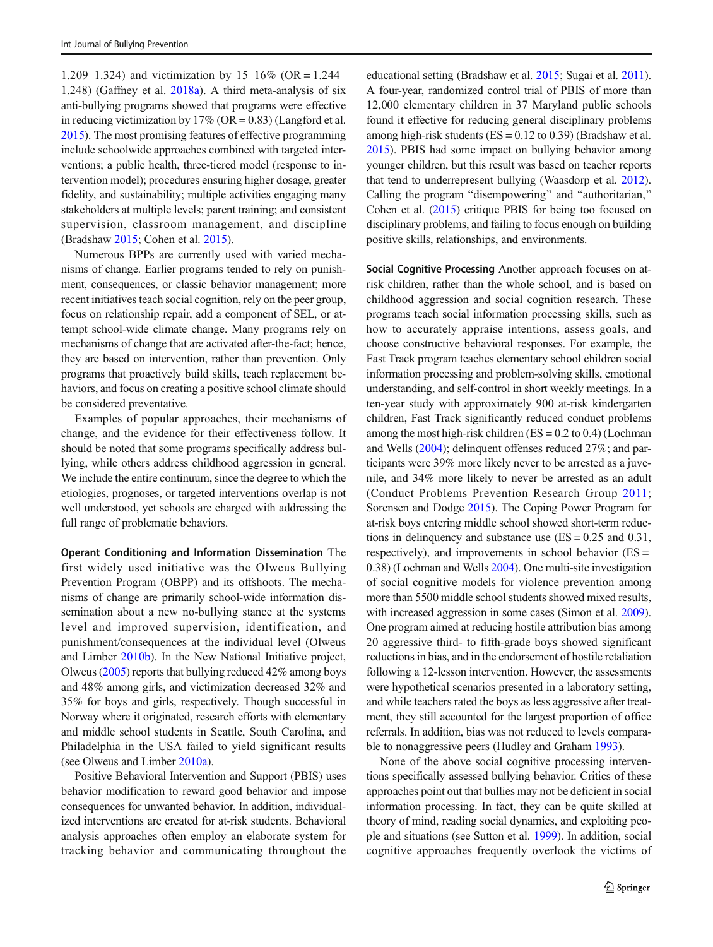1.209–1.324) and victimization by  $15-16\%$  (OR = 1.244– 1.248) (Gaffney et al. [2018a\)](#page-16-0). A third meta-analysis of six anti-bullying programs showed that programs were effective in reducing victimization by  $17\%$  (OR = 0.83) (Langford et al. [2015\)](#page-17-0). The most promising features of effective programming include schoolwide approaches combined with targeted interventions; a public health, three-tiered model (response to intervention model); procedures ensuring higher dosage, greater fidelity, and sustainability; multiple activities engaging many stakeholders at multiple levels; parent training; and consistent supervision, classroom management, and discipline (Bradshaw [2015](#page-14-0); Cohen et al. [2015\)](#page-14-0).

Numerous BPPs are currently used with varied mechanisms of change. Earlier programs tended to rely on punishment, consequences, or classic behavior management; more recent initiatives teach social cognition, rely on the peer group, focus on relationship repair, add a component of SEL, or attempt school-wide climate change. Many programs rely on mechanisms of change that are activated after-the-fact; hence, they are based on intervention, rather than prevention. Only programs that proactively build skills, teach replacement behaviors, and focus on creating a positive school climate should be considered preventative.

Examples of popular approaches, their mechanisms of change, and the evidence for their effectiveness follow. It should be noted that some programs specifically address bullying, while others address childhood aggression in general. We include the entire continuum, since the degree to which the etiologies, prognoses, or targeted interventions overlap is not well understood, yet schools are charged with addressing the full range of problematic behaviors.

Operant Conditioning and Information Dissemination The first widely used initiative was the Olweus Bullying Prevention Program (OBPP) and its offshoots. The mechanisms of change are primarily school-wide information dissemination about a new no-bullying stance at the systems level and improved supervision, identification, and punishment/consequences at the individual level (Olweus and Limber [2010b\)](#page-18-0). In the New National Initiative project, Olweus ([2005](#page-18-0)) reports that bullying reduced 42% among boys and 48% among girls, and victimization decreased 32% and 35% for boys and girls, respectively. Though successful in Norway where it originated, research efforts with elementary and middle school students in Seattle, South Carolina, and Philadelphia in the USA failed to yield significant results (see Olweus and Limber [2010a](#page-18-0)).

Positive Behavioral Intervention and Support (PBIS) uses behavior modification to reward good behavior and impose consequences for unwanted behavior. In addition, individualized interventions are created for at-risk students. Behavioral analysis approaches often employ an elaborate system for tracking behavior and communicating throughout the educational setting (Bradshaw et al. [2015;](#page-14-0) Sugai et al. [2011\)](#page-19-0). A four-year, randomized control trial of PBIS of more than 12,000 elementary children in 37 Maryland public schools found it effective for reducing general disciplinary problems among high-risk students  $(ES = 0.12$  to 0.39) (Bradshaw et al. [2015\)](#page-14-0). PBIS had some impact on bullying behavior among younger children, but this result was based on teacher reports that tend to underrepresent bullying (Waasdorp et al. [2012\)](#page-20-0). Calling the program "disempowering" and "authoritarian," Cohen et al. ([2015](#page-14-0)) critique PBIS for being too focused on disciplinary problems, and failing to focus enough on building positive skills, relationships, and environments.

Social Cognitive Processing Another approach focuses on atrisk children, rather than the whole school, and is based on childhood aggression and social cognition research. These programs teach social information processing skills, such as how to accurately appraise intentions, assess goals, and choose constructive behavioral responses. For example, the Fast Track program teaches elementary school children social information processing and problem-solving skills, emotional understanding, and self-control in short weekly meetings. In a ten-year study with approximately 900 at-risk kindergarten children, Fast Track significantly reduced conduct problems among the most high-risk children  $(ES = 0.2 \text{ to } 0.4)$  (Lochman and Wells [\(2004\)](#page-17-0); delinquent offenses reduced 27%; and participants were 39% more likely never to be arrested as a juvenile, and 34% more likely to never be arrested as an adult (Conduct Problems Prevention Research Group [2011;](#page-15-0) Sorensen and Dodge [2015](#page-19-0)). The Coping Power Program for at-risk boys entering middle school showed short-term reductions in delinquency and substance use  $(ES = 0.25$  and  $0.31$ , respectively), and improvements in school behavior (ES = 0.38) (Lochman and Wells [2004\)](#page-17-0). One multi-site investigation of social cognitive models for violence prevention among more than 5500 middle school students showed mixed results, with increased aggression in some cases (Simon et al. [2009\)](#page-19-0). One program aimed at reducing hostile attribution bias among 20 aggressive third- to fifth-grade boys showed significant reductions in bias, and in the endorsement of hostile retaliation following a 12-lesson intervention. However, the assessments were hypothetical scenarios presented in a laboratory setting, and while teachers rated the boys as less aggressive after treatment, they still accounted for the largest proportion of office referrals. In addition, bias was not reduced to levels comparable to nonaggressive peers (Hudley and Graham [1993](#page-16-0)).

None of the above social cognitive processing interventions specifically assessed bullying behavior. Critics of these approaches point out that bullies may not be deficient in social information processing. In fact, they can be quite skilled at theory of mind, reading social dynamics, and exploiting people and situations (see Sutton et al. [1999\)](#page-19-0). In addition, social cognitive approaches frequently overlook the victims of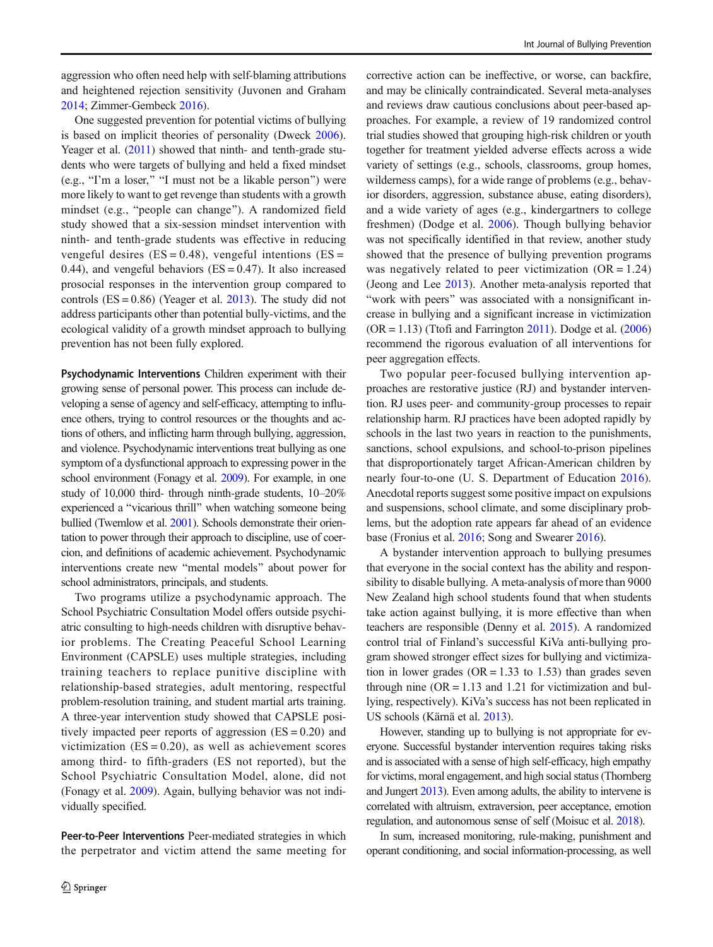aggression who often need help with self-blaming attributions and heightened rejection sensitivity (Juvonen and Graham [2014;](#page-17-0) Zimmer-Gembeck [2016\)](#page-20-0).

One suggested prevention for potential victims of bullying is based on implicit theories of personality (Dweck [2006](#page-15-0)). Yeager et al. [\(2011](#page-20-0)) showed that ninth- and tenth-grade students who were targets of bullying and held a fixed mindset (e.g., "I'm a loser," "I must not be a likable person") were more likely to want to get revenge than students with a growth mindset (e.g., "people can change"). A randomized field study showed that a six-session mindset intervention with ninth- and tenth-grade students was effective in reducing vengeful desires  $(ES = 0.48)$ , vengeful intentions  $(ES = 1.48)$ 0.44), and vengeful behaviors  $(ES = 0.47)$ . It also increased prosocial responses in the intervention group compared to controls  $(ES = 0.86)$  (Yeager et al. [2013\)](#page-20-0). The study did not address participants other than potential bully-victims, and the ecological validity of a growth mindset approach to bullying prevention has not been fully explored.

Psychodynamic Interventions Children experiment with their growing sense of personal power. This process can include developing a sense of agency and self-efficacy, attempting to influence others, trying to control resources or the thoughts and actions of others, and inflicting harm through bullying, aggression, and violence. Psychodynamic interventions treat bullying as one symptom of a dysfunctional approach to expressing power in the school environment (Fonagy et al. [2009](#page-16-0)). For example, in one study of 10,000 third- through ninth-grade students, 10–20% experienced a "vicarious thrill" when watching someone being bullied (Twemlow et al. [2001\)](#page-19-0). Schools demonstrate their orientation to power through their approach to discipline, use of coercion, and definitions of academic achievement. Psychodynamic interventions create new "mental models" about power for school administrators, principals, and students.

Two programs utilize a psychodynamic approach. The School Psychiatric Consultation Model offers outside psychiatric consulting to high-needs children with disruptive behavior problems. The Creating Peaceful School Learning Environment (CAPSLE) uses multiple strategies, including training teachers to replace punitive discipline with relationship-based strategies, adult mentoring, respectful problem-resolution training, and student martial arts training. A three-year intervention study showed that CAPSLE positively impacted peer reports of aggression  $(ES = 0.20)$  and victimization  $(ES = 0.20)$ , as well as achievement scores among third- to fifth-graders (ES not reported), but the School Psychiatric Consultation Model, alone, did not (Fonagy et al. [2009\)](#page-16-0). Again, bullying behavior was not individually specified.

Peer-to-Peer Interventions Peer-mediated strategies in which the perpetrator and victim attend the same meeting for corrective action can be ineffective, or worse, can backfire, and may be clinically contraindicated. Several meta-analyses and reviews draw cautious conclusions about peer-based approaches. For example, a review of 19 randomized control trial studies showed that grouping high-risk children or youth together for treatment yielded adverse effects across a wide variety of settings (e.g., schools, classrooms, group homes, wilderness camps), for a wide range of problems (e.g., behavior disorders, aggression, substance abuse, eating disorders), and a wide variety of ages (e.g., kindergartners to college freshmen) (Dodge et al. [2006](#page-15-0)). Though bullying behavior was not specifically identified in that review, another study showed that the presence of bullying prevention programs was negatively related to peer victimization  $(OR = 1.24)$ (Jeong and Lee [2013\)](#page-16-0). Another meta-analysis reported that "work with peers" was associated with a nonsignificant increase in bullying and a significant increase in victimization  $(OR = 1.13)$  (Ttofi and Farrington [2011\)](#page-19-0). Dodge et al.  $(2006)$  $(2006)$ recommend the rigorous evaluation of all interventions for peer aggregation effects.

Two popular peer-focused bullying intervention approaches are restorative justice (RJ) and bystander intervention. RJ uses peer- and community-group processes to repair relationship harm. RJ practices have been adopted rapidly by schools in the last two years in reaction to the punishments, sanctions, school expulsions, and school-to-prison pipelines that disproportionately target African-American children by nearly four-to-one (U. S. Department of Education [2016\)](#page-19-0). Anecdotal reports suggest some positive impact on expulsions and suspensions, school climate, and some disciplinary problems, but the adoption rate appears far ahead of an evidence base (Fronius et al. [2016](#page-16-0); Song and Swearer [2016](#page-19-0)).

A bystander intervention approach to bullying presumes that everyone in the social context has the ability and responsibility to disable bullying. A meta-analysis of more than 9000 New Zealand high school students found that when students take action against bullying, it is more effective than when teachers are responsible (Denny et al. [2015\)](#page-15-0). A randomized control trial of Finland's successful KiVa anti-bullying program showed stronger effect sizes for bullying and victimization in lower grades ( $OR = 1.33$  to 1.53) than grades seven through nine  $(OR = 1.13$  and 1.21 for victimization and bullying, respectively). KiVa's success has not been replicated in US schools (Kärnä et al. [2013\)](#page-17-0).

However, standing up to bullying is not appropriate for everyone. Successful bystander intervention requires taking risks and is associated with a sense of high self-efficacy, high empathy for victims, moral engagement, and high social status (Thornberg and Jungert [2013](#page-19-0)). Even among adults, the ability to intervene is correlated with altruism, extraversion, peer acceptance, emotion regulation, and autonomous sense of self (Moisuc et al. [2018\)](#page-17-0).

In sum, increased monitoring, rule-making, punishment and operant conditioning, and social information-processing, as well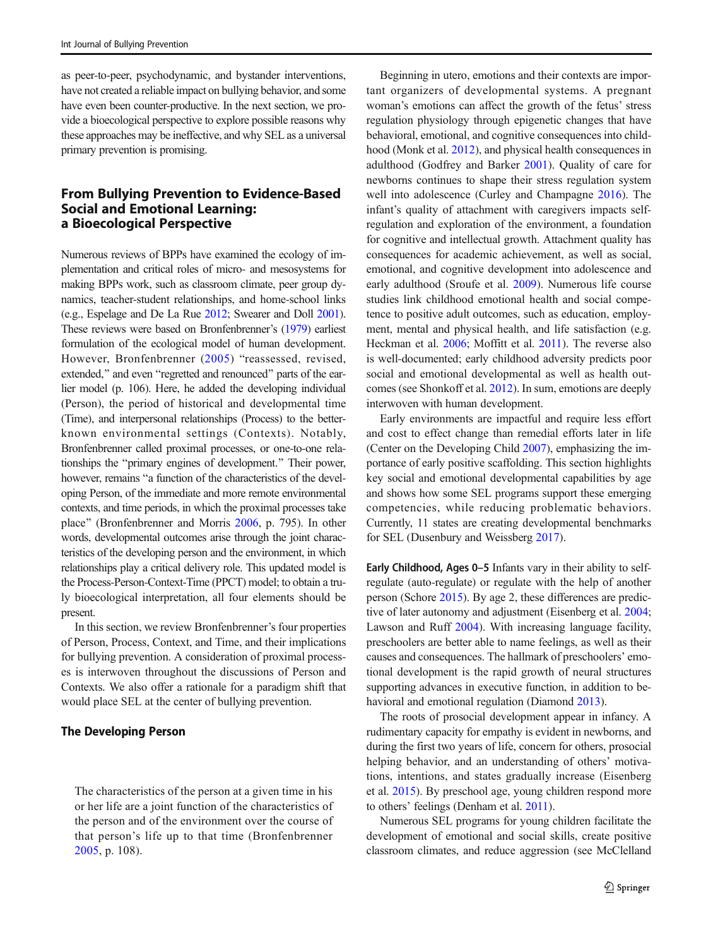as peer-to-peer, psychodynamic, and bystander interventions, have not created a reliable impact on bullying behavior, and some have even been counter-productive. In the next section, we provide a bioecological perspective to explore possible reasons why these approaches may be ineffective, and why SEL as a universal primary prevention is promising.

## From Bullying Prevention to Evidence-Based Social and Emotional Learning: a Bioecological Perspective

Numerous reviews of BPPs have examined the ecology of implementation and critical roles of micro- and mesosystems for making BPPs work, such as classroom climate, peer group dynamics, teacher-student relationships, and home-school links (e.g., Espelage and De La Rue [2012;](#page-15-0) Swearer and Doll [2001\)](#page-19-0). These reviews were based on Bronfenbrenner's [\(1979\)](#page-14-0) earliest formulation of the ecological model of human development. However, Bronfenbrenner ([2005](#page-14-0)) "reassessed, revised, extended," and even "regretted and renounced" parts of the earlier model (p. 106). Here, he added the developing individual (Person), the period of historical and developmental time (Time), and interpersonal relationships (Process) to the betterknown environmental settings (Contexts). Notably, Bronfenbrenner called proximal processes, or one-to-one relationships the "primary engines of development." Their power, however, remains "a function of the characteristics of the developing Person, of the immediate and more remote environmental contexts, and time periods, in which the proximal processes take place" (Bronfenbrenner and Morris [2006,](#page-14-0) p. 795). In other words, developmental outcomes arise through the joint characteristics of the developing person and the environment, in which relationships play a critical delivery role. This updated model is the Process-Person-Context-Time (PPCT) model; to obtain a truly bioecological interpretation, all four elements should be present.

In this section, we review Bronfenbrenner's four properties of Person, Process, Context, and Time, and their implications for bullying prevention. A consideration of proximal processes is interwoven throughout the discussions of Person and Contexts. We also offer a rationale for a paradigm shift that would place SEL at the center of bullying prevention.

### The Developing Person

The characteristics of the person at a given time in his or her life are a joint function of the characteristics of the person and of the environment over the course of that person's life up to that time (Bronfenbrenner [2005,](#page-14-0) p. 108).

Beginning in utero, emotions and their contexts are important organizers of developmental systems. A pregnant woman's emotions can affect the growth of the fetus' stress regulation physiology through epigenetic changes that have behavioral, emotional, and cognitive consequences into childhood (Monk et al. [2012\)](#page-17-0), and physical health consequences in adulthood (Godfrey and Barker [2001\)](#page-16-0). Quality of care for newborns continues to shape their stress regulation system well into adolescence (Curley and Champagne [2016](#page-15-0)). The infant's quality of attachment with caregivers impacts selfregulation and exploration of the environment, a foundation for cognitive and intellectual growth. Attachment quality has consequences for academic achievement, as well as social, emotional, and cognitive development into adolescence and early adulthood (Sroufe et al. [2009](#page-19-0)). Numerous life course studies link childhood emotional health and social competence to positive adult outcomes, such as education, employment, mental and physical health, and life satisfaction (e.g. Heckman et al. [2006;](#page-16-0) Moffitt et al. [2011\)](#page-17-0). The reverse also is well-documented; early childhood adversity predicts poor social and emotional developmental as well as health outcomes (see Shonkoff et al. [2012\)](#page-18-0). In sum, emotions are deeply interwoven with human development.

Early environments are impactful and require less effort and cost to effect change than remedial efforts later in life (Center on the Developing Child [2007](#page-14-0)), emphasizing the importance of early positive scaffolding. This section highlights key social and emotional developmental capabilities by age and shows how some SEL programs support these emerging competencies, while reducing problematic behaviors. Currently, 11 states are creating developmental benchmarks for SEL (Dusenbury and Weissberg [2017](#page-15-0)).

Early Childhood, Ages 0–5 Infants vary in their ability to selfregulate (auto-regulate) or regulate with the help of another person (Schore [2015\)](#page-18-0). By age 2, these differences are predictive of later autonomy and adjustment (Eisenberg et al. [2004;](#page-15-0) Lawson and Ruff [2004](#page-17-0)). With increasing language facility, preschoolers are better able to name feelings, as well as their causes and consequences. The hallmark of preschoolers' emotional development is the rapid growth of neural structures supporting advances in executive function, in addition to behavioral and emotional regulation (Diamond [2013\)](#page-15-0).

The roots of prosocial development appear in infancy. A rudimentary capacity for empathy is evident in newborns, and during the first two years of life, concern for others, prosocial helping behavior, and an understanding of others' motivations, intentions, and states gradually increase (Eisenberg et al. [2015](#page-15-0)). By preschool age, young children respond more to others' feelings (Denham et al. [2011](#page-15-0)).

Numerous SEL programs for young children facilitate the development of emotional and social skills, create positive classroom climates, and reduce aggression (see McClelland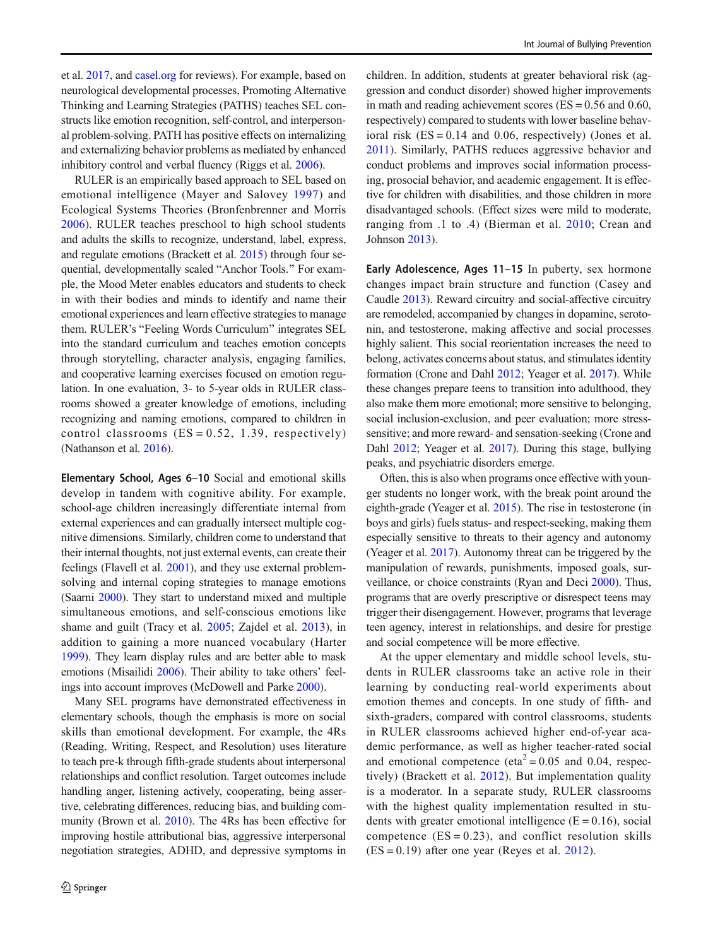et al. [2017,](#page-17-0) and [casel.org](http://casel.org) for reviews). For example, based on neurological developmental processes, Promoting Alternative Thinking and Learning Strategies (PATHS) teaches SEL constructs like emotion recognition, self-control, and interpersonal problem-solving. PATH has positive effects on internalizing and externalizing behavior problems as mediated by enhanced inhibitory control and verbal fluency (Riggs et al. [2006](#page-18-0)).

RULER is an empirically based approach to SEL based on emotional intelligence (Mayer and Salovey [1997](#page-17-0)) and Ecological Systems Theories (Bronfenbrenner and Morris [2006](#page-14-0)). RULER teaches preschool to high school students and adults the skills to recognize, understand, label, express, and regulate emotions (Brackett et al. [2015](#page-14-0)) through four sequential, developmentally scaled "Anchor Tools." For example, the Mood Meter enables educators and students to check in with their bodies and minds to identify and name their emotional experiences and learn effective strategies to manage them. RULER's "Feeling Words Curriculum" integrates SEL into the standard curriculum and teaches emotion concepts through storytelling, character analysis, engaging families, and cooperative learning exercises focused on emotion regulation. In one evaluation, 3- to 5-year olds in RULER classrooms showed a greater knowledge of emotions, including recognizing and naming emotions, compared to children in control classrooms  $(ES = 0.52, 1.39, respectively)$ (Nathanson et al. [2016](#page-17-0)).

Elementary School, Ages 6–10 Social and emotional skills develop in tandem with cognitive ability. For example, school-age children increasingly differentiate internal from external experiences and can gradually intersect multiple cognitive dimensions. Similarly, children come to understand that their internal thoughts, not just external events, can create their feelings (Flavell et al. [2001\)](#page-16-0), and they use external problemsolving and internal coping strategies to manage emotions (Saarni [2000\)](#page-18-0). They start to understand mixed and multiple simultaneous emotions, and self-conscious emotions like shame and guilt (Tracy et al. [2005](#page-19-0); Zajdel et al. [2013](#page-20-0)), in addition to gaining a more nuanced vocabulary (Harter [1999\)](#page-16-0). They learn display rules and are better able to mask emotions (Misailidi [2006\)](#page-17-0). Their ability to take others' feelings into account improves (McDowell and Parke [2000](#page-17-0)).

Many SEL programs have demonstrated effectiveness in elementary schools, though the emphasis is more on social skills than emotional development. For example, the 4Rs (Reading, Writing, Respect, and Resolution) uses literature to teach pre-k through fifth-grade students about interpersonal relationships and conflict resolution. Target outcomes include handling anger, listening actively, cooperating, being assertive, celebrating differences, reducing bias, and building community (Brown et al. [2010](#page-14-0)). The 4Rs has been effective for improving hostile attributional bias, aggressive interpersonal negotiation strategies, ADHD, and depressive symptoms in

children. In addition, students at greater behavioral risk (aggression and conduct disorder) showed higher improvements in math and reading achievement scores ( $ES = 0.56$  and 0.60, respectively) compared to students with lower baseline behavioral risk  $(ES = 0.14$  and 0.06, respectively) (Jones et al. [2011\)](#page-16-0). Similarly, PATHS reduces aggressive behavior and conduct problems and improves social information processing, prosocial behavior, and academic engagement. It is effective for children with disabilities, and those children in more disadvantaged schools. (Effect sizes were mild to moderate, ranging from .1 to .4) (Bierman et al. [2010](#page-14-0); Crean and Johnson [2013](#page-15-0)).

Early Adolescence, Ages 11–15 In puberty, sex hormone changes impact brain structure and function (Casey and Caudle [2013](#page-14-0)). Reward circuitry and social-affective circuitry are remodeled, accompanied by changes in dopamine, serotonin, and testosterone, making affective and social processes highly salient. This social reorientation increases the need to belong, activates concerns about status, and stimulates identity formation (Crone and Dahl [2012](#page-15-0); Yeager et al. [2017](#page-20-0)). While these changes prepare teens to transition into adulthood, they also make them more emotional; more sensitive to belonging, social inclusion-exclusion, and peer evaluation; more stresssensitive; and more reward- and sensation-seeking (Crone and Dahl [2012](#page-15-0); Yeager et al. [2017](#page-20-0)). During this stage, bullying peaks, and psychiatric disorders emerge.

Often, this is also when programs once effective with younger students no longer work, with the break point around the eighth-grade (Yeager et al. [2015\)](#page-20-0). The rise in testosterone (in boys and girls) fuels status- and respect-seeking, making them especially sensitive to threats to their agency and autonomy (Yeager et al. [2017](#page-20-0)). Autonomy threat can be triggered by the manipulation of rewards, punishments, imposed goals, surveillance, or choice constraints (Ryan and Deci [2000\)](#page-18-0). Thus, programs that are overly prescriptive or disrespect teens may trigger their disengagement. However, programs that leverage teen agency, interest in relationships, and desire for prestige and social competence will be more effective.

At the upper elementary and middle school levels, students in RULER classrooms take an active role in their learning by conducting real-world experiments about emotion themes and concepts. In one study of fifth- and sixth-graders, compared with control classrooms, students in RULER classrooms achieved higher end-of-year academic performance, as well as higher teacher-rated social and emotional competence (eta<sup>2</sup> = 0.05 and 0.04, respectively) (Brackett et al. [2012\)](#page-14-0). But implementation quality is a moderator. In a separate study, RULER classrooms with the highest quality implementation resulted in students with greater emotional intelligence  $(E = 0.16)$ , social competence  $(ES = 0.23)$ , and conflict resolution skills  $(ES = 0.19)$  after one year (Reyes et al. [2012](#page-18-0)).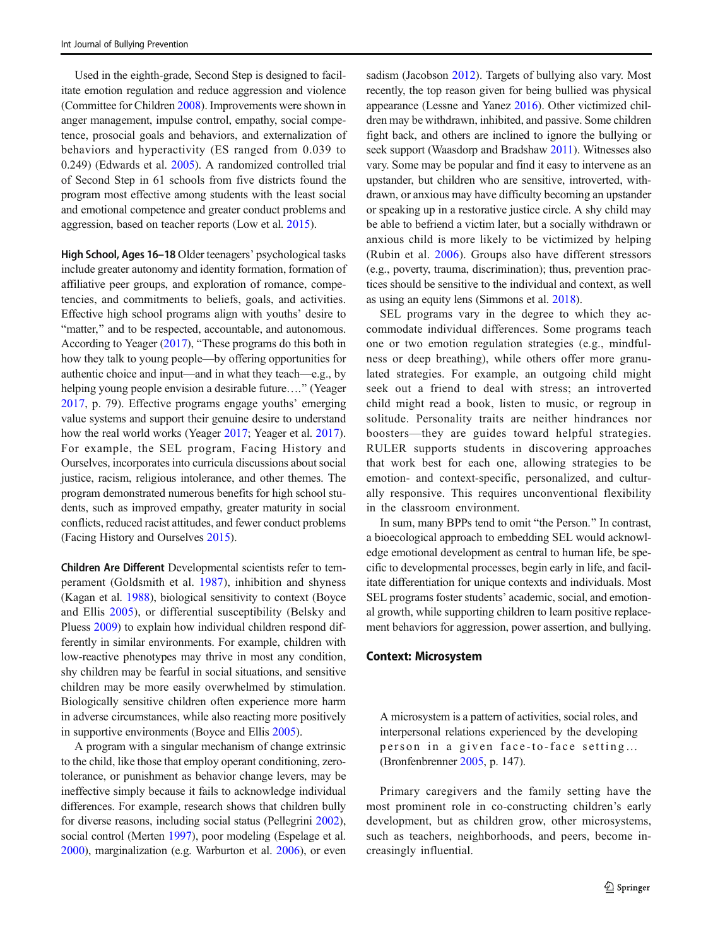Used in the eighth-grade, Second Step is designed to facilitate emotion regulation and reduce aggression and violence (Committee for Children [2008\)](#page-15-0). Improvements were shown in anger management, impulse control, empathy, social competence, prosocial goals and behaviors, and externalization of behaviors and hyperactivity (ES ranged from 0.039 to 0.249) (Edwards et al. [2005\)](#page-15-0). A randomized controlled trial of Second Step in 61 schools from five districts found the program most effective among students with the least social and emotional competence and greater conduct problems and aggression, based on teacher reports (Low et al. [2015](#page-17-0)).

High School, Ages 16-18 Older teenagers' psychological tasks include greater autonomy and identity formation, formation of affiliative peer groups, and exploration of romance, competencies, and commitments to beliefs, goals, and activities. Effective high school programs align with youths' desire to "matter," and to be respected, accountable, and autonomous. According to Yeager  $(2017)$  $(2017)$  $(2017)$ , "These programs do this both in how they talk to young people—by offering opportunities for authentic choice and input—and in what they teach—e.g., by helping young people envision a desirable future...." (Yeager [2017,](#page-20-0) p. 79). Effective programs engage youths' emerging value systems and support their genuine desire to understand how the real world works (Yeager [2017;](#page-20-0) Yeager et al. [2017\)](#page-20-0). For example, the SEL program, Facing History and Ourselves, incorporates into curricula discussions about social justice, racism, religious intolerance, and other themes. The program demonstrated numerous benefits for high school students, such as improved empathy, greater maturity in social conflicts, reduced racist attitudes, and fewer conduct problems (Facing History and Ourselves [2015](#page-16-0)).

Children Are Different Developmental scientists refer to temperament (Goldsmith et al. [1987\)](#page-16-0), inhibition and shyness (Kagan et al. [1988](#page-17-0)), biological sensitivity to context (Boyce and Ellis [2005\)](#page-14-0), or differential susceptibility (Belsky and Pluess [2009](#page-14-0)) to explain how individual children respond differently in similar environments. For example, children with low-reactive phenotypes may thrive in most any condition, shy children may be fearful in social situations, and sensitive children may be more easily overwhelmed by stimulation. Biologically sensitive children often experience more harm in adverse circumstances, while also reacting more positively in supportive environments (Boyce and Ellis [2005](#page-14-0)).

A program with a singular mechanism of change extrinsic to the child, like those that employ operant conditioning, zerotolerance, or punishment as behavior change levers, may be ineffective simply because it fails to acknowledge individual differences. For example, research shows that children bully for diverse reasons, including social status (Pellegrini [2002\)](#page-18-0), social control (Merten [1997](#page-17-0)), poor modeling (Espelage et al. [2000\)](#page-15-0), marginalization (e.g. Warburton et al. [2006](#page-20-0)), or even sadism (Jacobson [2012](#page-16-0)). Targets of bullying also vary. Most recently, the top reason given for being bullied was physical appearance (Lessne and Yanez [2016](#page-17-0)). Other victimized children may be withdrawn, inhibited, and passive. Some children fight back, and others are inclined to ignore the bullying or seek support (Waasdorp and Bradshaw [2011](#page-20-0)). Witnesses also vary. Some may be popular and find it easy to intervene as an upstander, but children who are sensitive, introverted, withdrawn, or anxious may have difficulty becoming an upstander or speaking up in a restorative justice circle. A shy child may be able to befriend a victim later, but a socially withdrawn or anxious child is more likely to be victimized by helping (Rubin et al. [2006\)](#page-18-0). Groups also have different stressors (e.g., poverty, trauma, discrimination); thus, prevention practices should be sensitive to the individual and context, as well as using an equity lens (Simmons et al. [2018](#page-19-0)).

SEL programs vary in the degree to which they accommodate individual differences. Some programs teach one or two emotion regulation strategies (e.g., mindfulness or deep breathing), while others offer more granulated strategies. For example, an outgoing child might seek out a friend to deal with stress; an introverted child might read a book, listen to music, or regroup in solitude. Personality traits are neither hindrances nor boosters—they are guides toward helpful strategies. RULER supports students in discovering approaches that work best for each one, allowing strategies to be emotion- and context-specific, personalized, and culturally responsive. This requires unconventional flexibility in the classroom environment.

In sum, many BPPs tend to omit "the Person." In contrast, a bioecological approach to embedding SEL would acknowledge emotional development as central to human life, be specific to developmental processes, begin early in life, and facilitate differentiation for unique contexts and individuals. Most SEL programs foster students' academic, social, and emotional growth, while supporting children to learn positive replacement behaviors for aggression, power assertion, and bullying.

# Context: Microsystem

A microsystem is a pattern of activities, social roles, and interpersonal relations experienced by the developing person in a given face-to-face setting… (Bronfenbrenner [2005](#page-14-0), p. 147).

Primary caregivers and the family setting have the most prominent role in co-constructing children's early development, but as children grow, other microsystems, such as teachers, neighborhoods, and peers, become increasingly influential.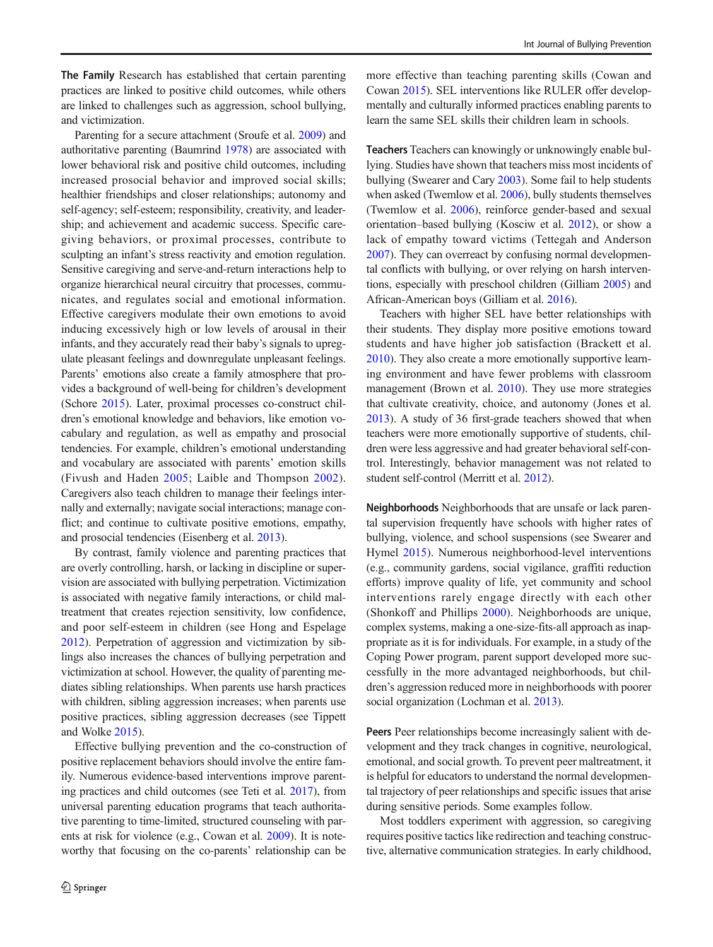The Family Research has established that certain parenting practices are linked to positive child outcomes, while others are linked to challenges such as aggression, school bullying, and victimization.

Parenting for a secure attachment (Sroufe et al. [2009](#page-19-0)) and authoritative parenting (Baumrind [1978](#page-14-0)) are associated with lower behavioral risk and positive child outcomes, including increased prosocial behavior and improved social skills; healthier friendships and closer relationships; autonomy and self-agency; self-esteem; responsibility, creativity, and leadership; and achievement and academic success. Specific caregiving behaviors, or proximal processes, contribute to sculpting an infant's stress reactivity and emotion regulation. Sensitive caregiving and serve-and-return interactions help to organize hierarchical neural circuitry that processes, communicates, and regulates social and emotional information. Effective caregivers modulate their own emotions to avoid inducing excessively high or low levels of arousal in their infants, and they accurately read their baby's signals to upregulate pleasant feelings and downregulate unpleasant feelings. Parents' emotions also create a family atmosphere that provides a background of well-being for children's development (Schore [2015\)](#page-18-0). Later, proximal processes co-construct children's emotional knowledge and behaviors, like emotion vocabulary and regulation, as well as empathy and prosocial tendencies. For example, children's emotional understanding and vocabulary are associated with parents' emotion skills (Fivush and Haden [2005;](#page-16-0) Laible and Thompson [2002](#page-17-0)). Caregivers also teach children to manage their feelings internally and externally; navigate social interactions; manage conflict; and continue to cultivate positive emotions, empathy, and prosocial tendencies (Eisenberg et al. [2013\)](#page-15-0).

By contrast, family violence and parenting practices that are overly controlling, harsh, or lacking in discipline or supervision are associated with bullying perpetration. Victimization is associated with negative family interactions, or child maltreatment that creates rejection sensitivity, low confidence, and poor self-esteem in children (see Hong and Espelage [2012\)](#page-16-0). Perpetration of aggression and victimization by siblings also increases the chances of bullying perpetration and victimization at school. However, the quality of parenting mediates sibling relationships. When parents use harsh practices with children, sibling aggression increases; when parents use positive practices, sibling aggression decreases (see Tippett and Wolke [2015](#page-19-0)).

Effective bullying prevention and the co-construction of positive replacement behaviors should involve the entire family. Numerous evidence-based interventions improve parenting practices and child outcomes (see Teti et al. [2017\)](#page-19-0), from universal parenting education programs that teach authoritative parenting to time-limited, structured counseling with parents at risk for violence (e.g., Cowan et al. [2009](#page-15-0)). It is noteworthy that focusing on the co-parents' relationship can be

more effective than teaching parenting skills (Cowan and Cowan [2015](#page-15-0)). SEL interventions like RULER offer developmentally and culturally informed practices enabling parents to learn the same SEL skills their children learn in schools.

Teachers Teachers can knowingly or unknowingly enable bullying. Studies have shown that teachers miss most incidents of bullying (Swearer and Cary [2003\)](#page-19-0). Some fail to help students when asked (Twemlow et al. [2006\)](#page-19-0), bully students themselves (Twemlow et al. [2006](#page-19-0)), reinforce gender-based and sexual orientation–based bullying (Kosciw et al. [2012\)](#page-17-0), or show a lack of empathy toward victims (Tettegah and Anderson [2007\)](#page-19-0). They can overreact by confusing normal developmental conflicts with bullying, or over relying on harsh interventions, especially with preschool children (Gilliam [2005\)](#page-16-0) and African-American boys (Gilliam et al. [2016\)](#page-16-0).

Teachers with higher SEL have better relationships with their students. They display more positive emotions toward students and have higher job satisfaction (Brackett et al. [2010\)](#page-14-0). They also create a more emotionally supportive learning environment and have fewer problems with classroom management (Brown et al. [2010](#page-14-0)). They use more strategies that cultivate creativity, choice, and autonomy (Jones et al. [2013\)](#page-17-0). A study of 36 first-grade teachers showed that when teachers were more emotionally supportive of students, children were less aggressive and had greater behavioral self-control. Interestingly, behavior management was not related to student self-control (Merritt et al. [2012\)](#page-17-0).

Neighborhoods Neighborhoods that are unsafe or lack parental supervision frequently have schools with higher rates of bullying, violence, and school suspensions (see Swearer and Hymel [2015\)](#page-19-0). Numerous neighborhood-level interventions (e.g., community gardens, social vigilance, graffiti reduction efforts) improve quality of life, yet community and school interventions rarely engage directly with each other (Shonkoff and Phillips [2000](#page-18-0)). Neighborhoods are unique, complex systems, making a one-size-fits-all approach as inappropriate as it is for individuals. For example, in a study of the Coping Power program, parent support developed more successfully in the more advantaged neighborhoods, but children's aggression reduced more in neighborhoods with poorer social organization (Lochman et al. [2013\)](#page-17-0).

Peers Peer relationships become increasingly salient with development and they track changes in cognitive, neurological, emotional, and social growth. To prevent peer maltreatment, it is helpful for educators to understand the normal developmental trajectory of peer relationships and specific issues that arise during sensitive periods. Some examples follow.

Most toddlers experiment with aggression, so caregiving requires positive tactics like redirection and teaching constructive, alternative communication strategies. In early childhood,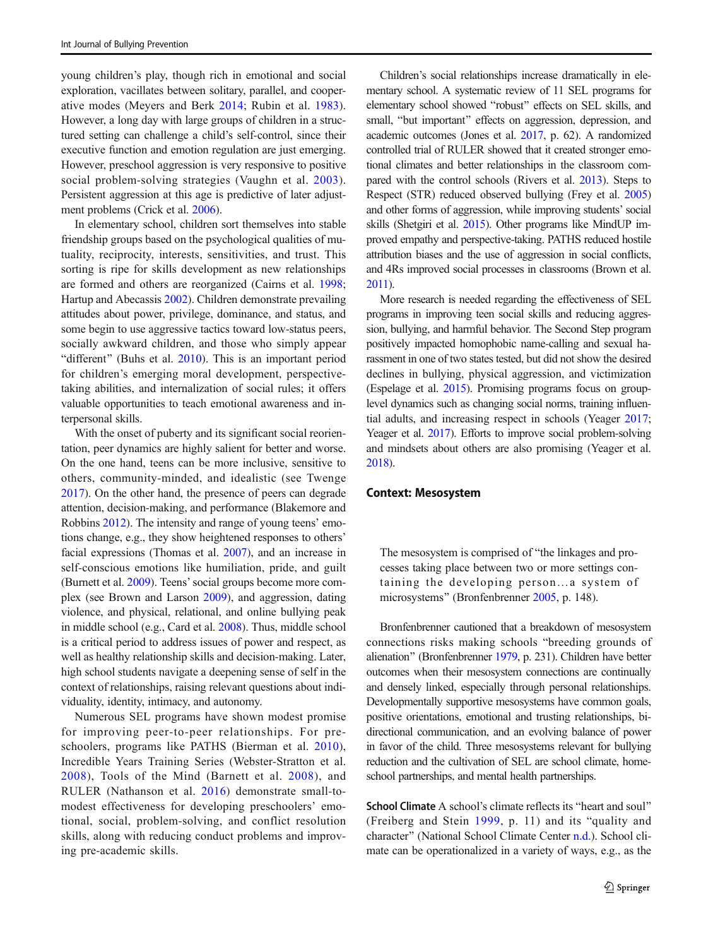young children's play, though rich in emotional and social exploration, vacillates between solitary, parallel, and cooperative modes (Meyers and Berk [2014](#page-17-0); Rubin et al. [1983](#page-18-0)). However, a long day with large groups of children in a structured setting can challenge a child's self-control, since their executive function and emotion regulation are just emerging. However, preschool aggression is very responsive to positive social problem-solving strategies (Vaughn et al. [2003](#page-19-0)). Persistent aggression at this age is predictive of later adjustment problems (Crick et al. [2006](#page-15-0)).

In elementary school, children sort themselves into stable friendship groups based on the psychological qualities of mutuality, reciprocity, interests, sensitivities, and trust. This sorting is ripe for skills development as new relationships are formed and others are reorganized (Cairns et al. [1998](#page-14-0); Hartup and Abecassis [2002\)](#page-16-0). Children demonstrate prevailing attitudes about power, privilege, dominance, and status, and some begin to use aggressive tactics toward low-status peers, socially awkward children, and those who simply appear "different" (Buhs et al. [2010\)](#page-14-0). This is an important period for children's emerging moral development, perspectivetaking abilities, and internalization of social rules; it offers valuable opportunities to teach emotional awareness and interpersonal skills.

With the onset of puberty and its significant social reorientation, peer dynamics are highly salient for better and worse. On the one hand, teens can be more inclusive, sensitive to others, community-minded, and idealistic (see Twenge [2017\)](#page-19-0). On the other hand, the presence of peers can degrade attention, decision-making, and performance (Blakemore and Robbins [2012](#page-14-0)). The intensity and range of young teens' emotions change, e.g., they show heightened responses to others' facial expressions (Thomas et al. [2007](#page-19-0)), and an increase in self-conscious emotions like humiliation, pride, and guilt (Burnett et al. [2009\)](#page-14-0). Teens'social groups become more complex (see Brown and Larson [2009\)](#page-14-0), and aggression, dating violence, and physical, relational, and online bullying peak in middle school (e.g., Card et al. [2008](#page-14-0)). Thus, middle school is a critical period to address issues of power and respect, as well as healthy relationship skills and decision-making. Later, high school students navigate a deepening sense of self in the context of relationships, raising relevant questions about individuality, identity, intimacy, and autonomy.

Numerous SEL programs have shown modest promise for improving peer-to-peer relationships. For preschoolers, programs like PATHS (Bierman et al. [2010](#page-14-0)), Incredible Years Training Series (Webster-Stratton et al. [2008\)](#page-20-0), Tools of the Mind (Barnett et al. [2008\)](#page-13-0), and RULER (Nathanson et al. [2016\)](#page-17-0) demonstrate small-tomodest effectiveness for developing preschoolers' emotional, social, problem-solving, and conflict resolution skills, along with reducing conduct problems and improving pre-academic skills.

Children's social relationships increase dramatically in elementary school. A systematic review of 11 SEL programs for elementary school showed "robust" effects on SEL skills, and small, "but important" effects on aggression, depression, and academic outcomes (Jones et al. [2017](#page-17-0), p. 62). A randomized controlled trial of RULER showed that it created stronger emotional climates and better relationships in the classroom compared with the control schools (Rivers et al. [2013](#page-18-0)). Steps to Respect (STR) reduced observed bullying (Frey et al. [2005](#page-16-0)) and other forms of aggression, while improving students' social skills (Shetgiri et al. [2015\)](#page-18-0). Other programs like MindUP improved empathy and perspective-taking. PATHS reduced hostile attribution biases and the use of aggression in social conflicts, and 4Rs improved social processes in classrooms (Brown et al. [2011\)](#page-14-0).

More research is needed regarding the effectiveness of SEL programs in improving teen social skills and reducing aggression, bullying, and harmful behavior. The Second Step program positively impacted homophobic name-calling and sexual harassment in one of two states tested, but did not show the desired declines in bullying, physical aggression, and victimization (Espelage et al. [2015\)](#page-15-0). Promising programs focus on grouplevel dynamics such as changing social norms, training influential adults, and increasing respect in schools (Yeager [2017;](#page-20-0) Yeager et al. [2017](#page-20-0)). Efforts to improve social problem-solving and mindsets about others are also promising (Yeager et al. [2018\)](#page-20-0).

## Context: Mesosystem

The mesosystem is comprised of "the linkages and processes taking place between two or more settings containing the developing person…a system of microsystems" (Bronfenbrenner [2005,](#page-14-0) p. 148).

Bronfenbrenner cautioned that a breakdown of mesosystem connections risks making schools "breeding grounds of alienation" (Bronfenbrenner [1979](#page-14-0), p. 231). Children have better outcomes when their mesosystem connections are continually and densely linked, especially through personal relationships. Developmentally supportive mesosystems have common goals, positive orientations, emotional and trusting relationships, bidirectional communication, and an evolving balance of power in favor of the child. Three mesosystems relevant for bullying reduction and the cultivation of SEL are school climate, homeschool partnerships, and mental health partnerships.

School Climate A school's climate reflects its "heart and soul" (Freiberg and Stein [1999](#page-16-0), p. 11) and its "quality and character" (National School Climate Center [n.d.\)](#page-18-0). School climate can be operationalized in a variety of ways, e.g., as the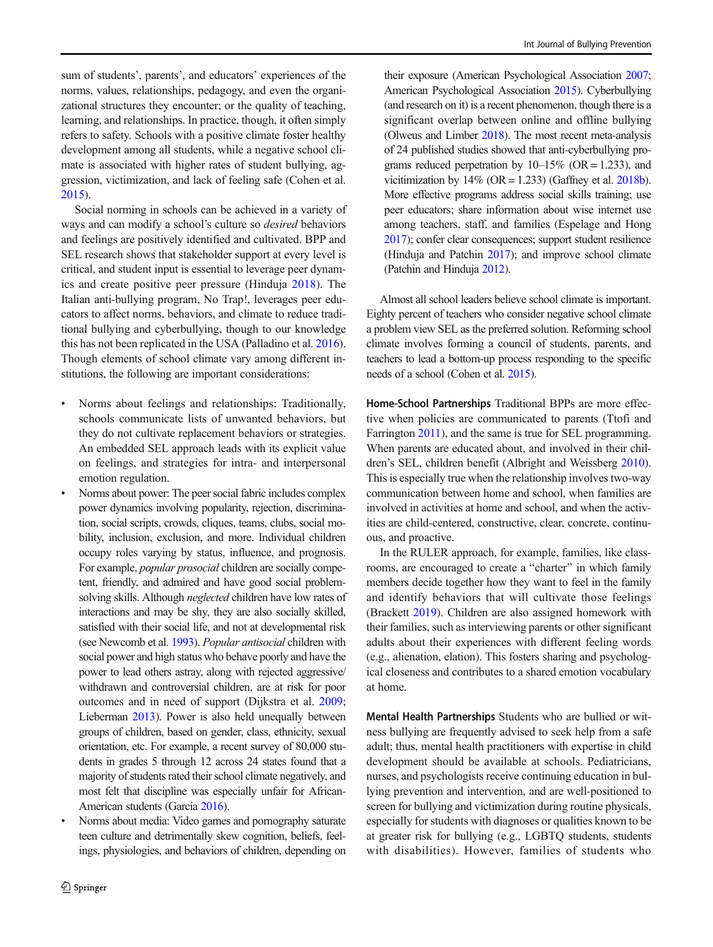sum of students', parents', and educators' experiences of the norms, values, relationships, pedagogy, and even the organizational structures they encounter; or the quality of teaching, learning, and relationships. In practice, though, it often simply refers to safety. Schools with a positive climate foster healthy development among all students, while a negative school climate is associated with higher rates of student bullying, aggression, victimization, and lack of feeling safe (Cohen et al. [2015\)](#page-14-0).

Social norming in schools can be achieved in a variety of ways and can modify a school's culture so desired behaviors and feelings are positively identified and cultivated. BPP and SEL research shows that stakeholder support at every level is critical, and student input is essential to leverage peer dynamics and create positive peer pressure (Hinduja [2018](#page-16-0)). The Italian anti-bullying program, No Trap!, leverages peer educators to affect norms, behaviors, and climate to reduce traditional bullying and cyberbullying, though to our knowledge this has not been replicated in the USA (Palladino et al. [2016\)](#page-18-0). Though elements of school climate vary among different institutions, the following are important considerations:

- Norms about feelings and relationships: Traditionally, schools communicate lists of unwanted behaviors, but they do not cultivate replacement behaviors or strategies. An embedded SEL approach leads with its explicit value on feelings, and strategies for intra- and interpersonal emotion regulation.
- Norms about power: The peer social fabric includes complex power dynamics involving popularity, rejection, discrimination, social scripts, crowds, cliques, teams, clubs, social mobility, inclusion, exclusion, and more. Individual children occupy roles varying by status, influence, and prognosis. For example, popular prosocial children are socially competent, friendly, and admired and have good social problemsolving skills. Although neglected children have low rates of interactions and may be shy, they are also socially skilled, satisfied with their social life, and not at developmental risk (see Newcomb et al. [1993\)](#page-18-0). Popular antisocial children with social power and high status who behave poorly and have the power to lead others astray, along with rejected aggressive/ withdrawn and controversial children, are at risk for poor outcomes and in need of support (Dijkstra et al. [2009](#page-15-0); Lieberman [2013\)](#page-17-0). Power is also held unequally between groups of children, based on gender, class, ethnicity, sexual orientation, etc. For example, a recent survey of 80,000 students in grades 5 through 12 across 24 states found that a majority of students rated their school climate negatively, and most felt that discipline was especially unfair for African-American students (García [2016\)](#page-16-0).
- Norms about media: Video games and pornography saturate teen culture and detrimentally skew cognition, beliefs, feelings, physiologies, and behaviors of children, depending on

their exposure (American Psychological Association [2007;](#page-13-0) American Psychological Association [2015\)](#page-13-0). Cyberbullying (and research on it) is a recent phenomenon, though there is a significant overlap between online and offline bullying (Olweus and Limber [2018](#page-18-0)). The most recent meta-analysis of 24 published studies showed that anti-cyberbullying programs reduced perpetration by  $10-15\%$  (OR = 1.233), and vicitimization by  $14\%$  (OR = 1.233) (Gaffney et al. [2018b\)](#page-16-0). More effective programs address social skills training; use peer educators; share information about wise internet use among teachers, staff, and families (Espelage and Hong [2017\)](#page-15-0); confer clear consequences; support student resilience (Hinduja and Patchin [2017\)](#page-16-0); and improve school climate (Patchin and Hinduja [2012\)](#page-18-0).

Almost all school leaders believe school climate is important. Eighty percent of teachers who consider negative school climate a problem view SEL as the preferred solution. Reforming school climate involves forming a council of students, parents, and teachers to lead a bottom-up process responding to the specific needs of a school (Cohen et al. [2015](#page-14-0)).

Home-School Partnerships Traditional BPPs are more effective when policies are communicated to parents (Ttofi and Farrington [2011\)](#page-19-0), and the same is true for SEL programming. When parents are educated about, and involved in their children's SEL, children benefit (Albright and Weissberg [2010\)](#page-13-0). This is especially true when the relationship involves two-way communication between home and school, when families are involved in activities at home and school, and when the activities are child-centered, constructive, clear, concrete, continuous, and proactive.

In the RULER approach, for example, families, like classrooms, are encouraged to create a "charter" in which family members decide together how they want to feel in the family and identify behaviors that will cultivate those feelings (Brackett [2019\)](#page-14-0). Children are also assigned homework with their families, such as interviewing parents or other significant adults about their experiences with different feeling words (e.g., alienation, elation). This fosters sharing and psychological closeness and contributes to a shared emotion vocabulary at home.

Mental Health Partnerships Students who are bullied or witness bullying are frequently advised to seek help from a safe adult; thus, mental health practitioners with expertise in child development should be available at schools. Pediatricians, nurses, and psychologists receive continuing education in bullying prevention and intervention, and are well-positioned to screen for bullying and victimization during routine physicals, especially for students with diagnoses or qualities known to be at greater risk for bullying (e.g., LGBTQ students, students with disabilities). However, families of students who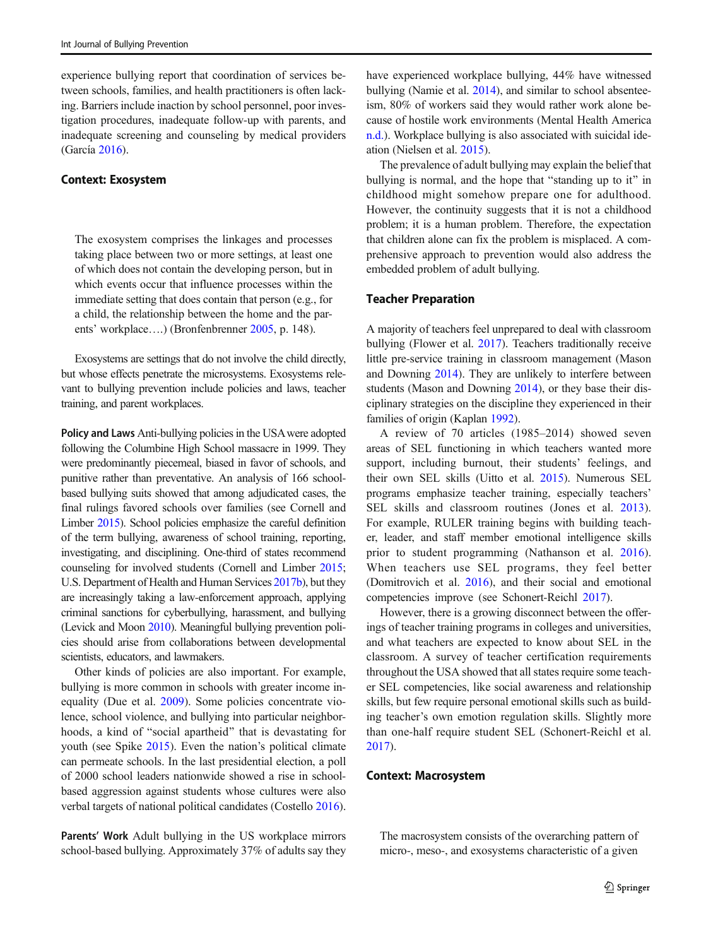experience bullying report that coordination of services between schools, families, and health practitioners is often lacking. Barriers include inaction by school personnel, poor investigation procedures, inadequate follow-up with parents, and inadequate screening and counseling by medical providers (García [2016\)](#page-16-0).

# Context: Exosystem

The exosystem comprises the linkages and processes taking place between two or more settings, at least one of which does not contain the developing person, but in which events occur that influence processes within the immediate setting that does contain that person (e.g., for a child, the relationship between the home and the parents' workplace….) (Bronfenbrenner [2005,](#page-14-0) p. 148).

Exosystems are settings that do not involve the child directly, but whose effects penetrate the microsystems. Exosystems relevant to bullying prevention include policies and laws, teacher training, and parent workplaces.

Policy and Laws Anti-bullying policies in the USA were adopted following the Columbine High School massacre in 1999. They were predominantly piecemeal, biased in favor of schools, and punitive rather than preventative. An analysis of 166 schoolbased bullying suits showed that among adjudicated cases, the final rulings favored schools over families (see Cornell and Limber [2015](#page-15-0)). School policies emphasize the careful definition of the term bullying, awareness of school training, reporting, investigating, and disciplining. One-third of states recommend counseling for involved students (Cornell and Limber [2015](#page-15-0); U.S. Department of Health and Human Services [2017b](#page-19-0)), but they are increasingly taking a law-enforcement approach, applying criminal sanctions for cyberbullying, harassment, and bullying (Levick and Moon [2010\)](#page-17-0). Meaningful bullying prevention policies should arise from collaborations between developmental scientists, educators, and lawmakers.

Other kinds of policies are also important. For example, bullying is more common in schools with greater income inequality (Due et al. [2009](#page-15-0)). Some policies concentrate violence, school violence, and bullying into particular neighborhoods, a kind of "social apartheid" that is devastating for youth (see Spike [2015](#page-19-0)). Even the nation's political climate can permeate schools. In the last presidential election, a poll of 2000 school leaders nationwide showed a rise in schoolbased aggression against students whose cultures were also verbal targets of national political candidates (Costello [2016\)](#page-15-0).

Parents' Work Adult bullying in the US workplace mirrors school-based bullying. Approximately 37% of adults say they have experienced workplace bullying, 44% have witnessed bullying (Namie et al. [2014\)](#page-17-0), and similar to school absenteeism, 80% of workers said they would rather work alone because of hostile work environments (Mental Health America [n.d.\)](#page-17-0). Workplace bullying is also associated with suicidal ideation (Nielsen et al. [2015](#page-18-0)).

The prevalence of adult bullying may explain the belief that bullying is normal, and the hope that "standing up to it" in childhood might somehow prepare one for adulthood. However, the continuity suggests that it is not a childhood problem; it is a human problem. Therefore, the expectation that children alone can fix the problem is misplaced. A comprehensive approach to prevention would also address the embedded problem of adult bullying.

#### Teacher Preparation

A majority of teachers feel unprepared to deal with classroom bullying (Flower et al. [2017](#page-16-0)). Teachers traditionally receive little pre-service training in classroom management (Mason and Downing [2014\)](#page-17-0). They are unlikely to interfere between students (Mason and Downing [2014\)](#page-17-0), or they base their disciplinary strategies on the discipline they experienced in their families of origin (Kaplan [1992](#page-17-0)).

A review of 70 articles (1985–2014) showed seven areas of SEL functioning in which teachers wanted more support, including burnout, their students' feelings, and their own SEL skills (Uitto et al. [2015\)](#page-19-0). Numerous SEL programs emphasize teacher training, especially teachers' SEL skills and classroom routines (Jones et al. [2013\)](#page-17-0). For example, RULER training begins with building teacher, leader, and staff member emotional intelligence skills prior to student programming (Nathanson et al. [2016](#page-17-0)). When teachers use SEL programs, they feel better (Domitrovich et al. [2016\)](#page-15-0), and their social and emotional competencies improve (see Schonert-Reichl [2017\)](#page-18-0).

However, there is a growing disconnect between the offerings of teacher training programs in colleges and universities, and what teachers are expected to know about SEL in the classroom. A survey of teacher certification requirements throughout the USA showed that all states require some teacher SEL competencies, like social awareness and relationship skills, but few require personal emotional skills such as building teacher's own emotion regulation skills. Slightly more than one-half require student SEL (Schonert-Reichl et al. [2017\)](#page-18-0).

### Context: Macrosystem

The macrosystem consists of the overarching pattern of micro-, meso-, and exosystems characteristic of a given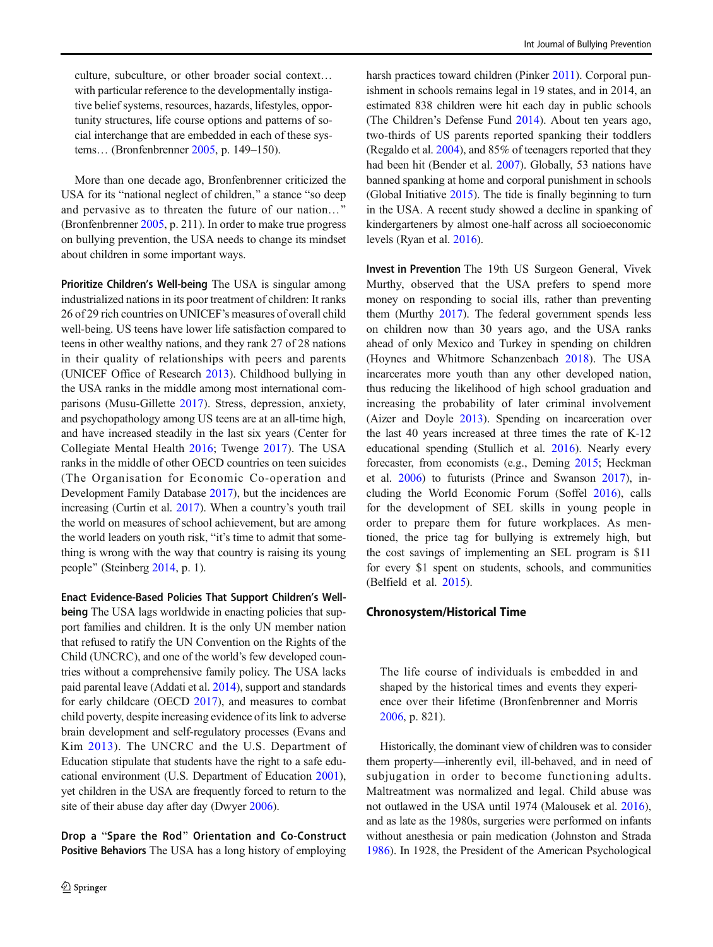culture, subculture, or other broader social context… with particular reference to the developmentally instigative belief systems, resources, hazards, lifestyles, opportunity structures, life course options and patterns of social interchange that are embedded in each of these systems… (Bronfenbrenner [2005,](#page-14-0) p. 149–150).

More than one decade ago, Bronfenbrenner criticized the USA for its "national neglect of children," a stance "so deep and pervasive as to threaten the future of our nation..." (Bronfenbrenner [2005](#page-14-0), p. 211). In order to make true progress on bullying prevention, the USA needs to change its mindset about children in some important ways.

Prioritize Children's Well-being The USA is singular among industrialized nations in its poor treatment of children: It ranks 26 of 29 rich countries on UNICEF's measures of overall child well-being. US teens have lower life satisfaction compared to teens in other wealthy nations, and they rank 27 of 28 nations in their quality of relationships with peers and parents (UNICEF Office of Research [2013\)](#page-19-0). Childhood bullying in the USA ranks in the middle among most international comparisons (Musu-Gillette [2017](#page-17-0)). Stress, depression, anxiety, and psychopathology among US teens are at an all-time high, and have increased steadily in the last six years (Center for Collegiate Mental Health [2016](#page-14-0); Twenge [2017](#page-19-0)). The USA ranks in the middle of other OECD countries on teen suicides (The Organisation for Economic Co-operation and Development Family Database [2017\)](#page-19-0), but the incidences are increasing (Curtin et al. [2017\)](#page-15-0). When a country's youth trail the world on measures of school achievement, but are among the world leaders on youth risk, "it's time to admit that something is wrong with the way that country is raising its young people" (Steinberg [2014,](#page-19-0) p. 1).

Enact Evidence-Based Policies That Support Children's Wellbeing The USA lags worldwide in enacting policies that support families and children. It is the only UN member nation that refused to ratify the UN Convention on the Rights of the Child (UNCRC), and one of the world's few developed countries without a comprehensive family policy. The USA lacks paid parental leave (Addati et al. [2014](#page-13-0)), support and standards for early childcare (OECD [2017\)](#page-18-0), and measures to combat child poverty, despite increasing evidence of its link to adverse brain development and self-regulatory processes (Evans and Kim [2013](#page-16-0)). The UNCRC and the U.S. Department of Education stipulate that students have the right to a safe educational environment (U.S. Department of Education [2001\)](#page-19-0), yet children in the USA are frequently forced to return to the site of their abuse day after day (Dwyer [2006\)](#page-15-0).

Drop a "Spare the Rod" Orientation and Co-Construct Positive Behaviors The USA has a long history of employing

harsh practices toward children (Pinker [2011\)](#page-18-0). Corporal punishment in schools remains legal in 19 states, and in 2014, an estimated 838 children were hit each day in public schools (The Children's Defense Fund [2014\)](#page-14-0). About ten years ago, two-thirds of US parents reported spanking their toddlers (Regaldo et al. [2004\)](#page-18-0), and 85% of teenagers reported that they had been hit (Bender et al. [2007](#page-14-0)). Globally, 53 nations have banned spanking at home and corporal punishment in schools (Global Initiative [2015](#page-16-0)). The tide is finally beginning to turn in the USA. A recent study showed a decline in spanking of kindergarteners by almost one-half across all socioeconomic levels (Ryan et al. [2016](#page-18-0)).

Invest in Prevention The 19th US Surgeon General, Vivek Murthy, observed that the USA prefers to spend more money on responding to social ills, rather than preventing them (Murthy [2017\)](#page-17-0). The federal government spends less on children now than 30 years ago, and the USA ranks ahead of only Mexico and Turkey in spending on children (Hoynes and Whitmore Schanzenbach [2018](#page-16-0)). The USA incarcerates more youth than any other developed nation, thus reducing the likelihood of high school graduation and increasing the probability of later criminal involvement (Aizer and Doyle [2013\)](#page-13-0). Spending on incarceration over the last 40 years increased at three times the rate of K-12 educational spending (Stullich et al. [2016\)](#page-19-0). Nearly every forecaster, from economists (e.g., Deming [2015;](#page-15-0) Heckman et al. [2006](#page-16-0)) to futurists (Prince and Swanson [2017\)](#page-18-0), including the World Economic Forum (Soffel [2016\)](#page-19-0), calls for the development of SEL skills in young people in order to prepare them for future workplaces. As mentioned, the price tag for bullying is extremely high, but the cost savings of implementing an SEL program is \$11 for every \$1 spent on students, schools, and communities (Belfield et al. [2015](#page-14-0)).

### Chronosystem/Historical Time

The life course of individuals is embedded in and shaped by the historical times and events they experience over their lifetime (Bronfenbrenner and Morris [2006](#page-14-0), p. 821).

Historically, the dominant view of children was to consider them property—inherently evil, ill-behaved, and in need of subjugation in order to become functioning adults. Maltreatment was normalized and legal. Child abuse was not outlawed in the USA until 1974 (Malousek et al. [2016\)](#page-17-0), and as late as the 1980s, surgeries were performed on infants without anesthesia or pain medication (Johnston and Strada [1986\)](#page-16-0). In 1928, the President of the American Psychological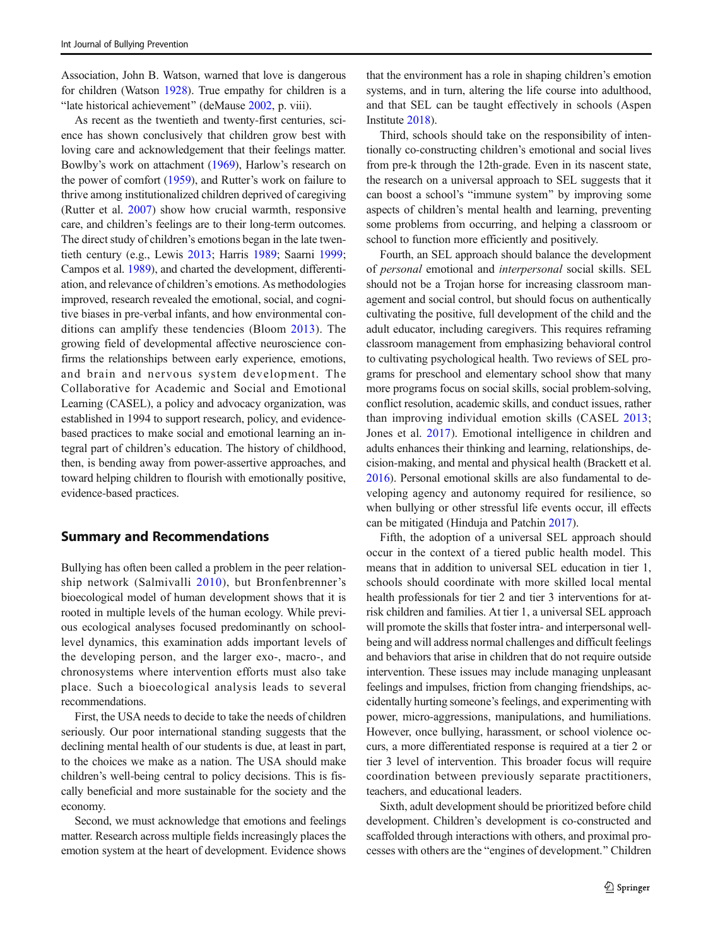Association, John B. Watson, warned that love is dangerous for children (Watson [1928\)](#page-20-0). True empathy for children is a "late historical achievement" (deMause [2002](#page-15-0), p. viii).

As recent as the twentieth and twenty-first centuries, science has shown conclusively that children grow best with loving care and acknowledgement that their feelings matter. Bowlby's work on attachment ([1969](#page-14-0)), Harlow's research on the power of comfort [\(1959\)](#page-16-0), and Rutter's work on failure to thrive among institutionalized children deprived of caregiving (Rutter et al. [2007\)](#page-18-0) show how crucial warmth, responsive care, and children's feelings are to their long-term outcomes. The direct study of children's emotions began in the late twentieth century (e.g., Lewis [2013;](#page-17-0) Harris [1989](#page-16-0); Saarni [1999](#page-18-0); Campos et al. [1989](#page-14-0)), and charted the development, differentiation, and relevance of children's emotions. As methodologies improved, research revealed the emotional, social, and cognitive biases in pre-verbal infants, and how environmental conditions can amplify these tendencies (Bloom [2013\)](#page-14-0). The growing field of developmental affective neuroscience confirms the relationships between early experience, emotions, and brain and nervous system development. The Collaborative for Academic and Social and Emotional Learning (CASEL), a policy and advocacy organization, was established in 1994 to support research, policy, and evidencebased practices to make social and emotional learning an integral part of children's education. The history of childhood, then, is bending away from power-assertive approaches, and toward helping children to flourish with emotionally positive, evidence-based practices.

### Summary and Recommendations

Bullying has often been called a problem in the peer relationship network (Salmivalli [2010\)](#page-18-0), but Bronfenbrenner's bioecological model of human development shows that it is rooted in multiple levels of the human ecology. While previous ecological analyses focused predominantly on schoollevel dynamics, this examination adds important levels of the developing person, and the larger exo-, macro-, and chronosystems where intervention efforts must also take place. Such a bioecological analysis leads to several recommendations.

First, the USA needs to decide to take the needs of children seriously. Our poor international standing suggests that the declining mental health of our students is due, at least in part, to the choices we make as a nation. The USA should make children's well-being central to policy decisions. This is fiscally beneficial and more sustainable for the society and the economy.

Second, we must acknowledge that emotions and feelings matter. Research across multiple fields increasingly places the emotion system at the heart of development. Evidence shows

that the environment has a role in shaping children's emotion systems, and in turn, altering the life course into adulthood, and that SEL can be taught effectively in schools (Aspen Institute [2018\)](#page-13-0).

Third, schools should take on the responsibility of intentionally co-constructing children's emotional and social lives from pre-k through the 12th-grade. Even in its nascent state, the research on a universal approach to SEL suggests that it can boost a school's "immune system" by improving some aspects of children's mental health and learning, preventing some problems from occurring, and helping a classroom or school to function more efficiently and positively.

Fourth, an SEL approach should balance the development of personal emotional and interpersonal social skills. SEL should not be a Trojan horse for increasing classroom management and social control, but should focus on authentically cultivating the positive, full development of the child and the adult educator, including caregivers. This requires reframing classroom management from emphasizing behavioral control to cultivating psychological health. Two reviews of SEL programs for preschool and elementary school show that many more programs focus on social skills, social problem-solving, conflict resolution, academic skills, and conduct issues, rather than improving individual emotion skills (CASEL [2013;](#page-14-0) Jones et al. [2017\)](#page-17-0). Emotional intelligence in children and adults enhances their thinking and learning, relationships, decision-making, and mental and physical health (Brackett et al. [2016\)](#page-14-0). Personal emotional skills are also fundamental to developing agency and autonomy required for resilience, so when bullying or other stressful life events occur, ill effects can be mitigated (Hinduja and Patchin [2017](#page-16-0)).

Fifth, the adoption of a universal SEL approach should occur in the context of a tiered public health model. This means that in addition to universal SEL education in tier 1, schools should coordinate with more skilled local mental health professionals for tier 2 and tier 3 interventions for atrisk children and families. At tier 1, a universal SEL approach will promote the skills that foster intra- and interpersonal wellbeing and will address normal challenges and difficult feelings and behaviors that arise in children that do not require outside intervention. These issues may include managing unpleasant feelings and impulses, friction from changing friendships, accidentally hurting someone's feelings, and experimenting with power, micro-aggressions, manipulations, and humiliations. However, once bullying, harassment, or school violence occurs, a more differentiated response is required at a tier 2 or tier 3 level of intervention. This broader focus will require coordination between previously separate practitioners, teachers, and educational leaders.

Sixth, adult development should be prioritized before child development. Children's development is co-constructed and scaffolded through interactions with others, and proximal processes with others are the "engines of development." Children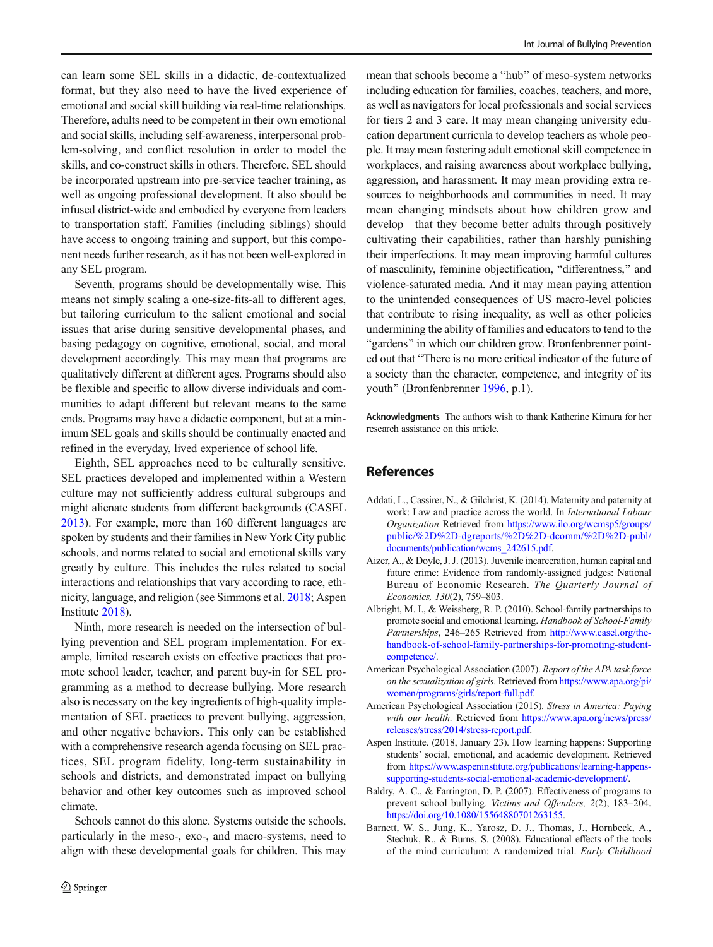<span id="page-13-0"></span>can learn some SEL skills in a didactic, de-contextualized format, but they also need to have the lived experience of emotional and social skill building via real-time relationships. Therefore, adults need to be competent in their own emotional and social skills, including self-awareness, interpersonal problem-solving, and conflict resolution in order to model the skills, and co-construct skills in others. Therefore, SEL should be incorporated upstream into pre-service teacher training, as well as ongoing professional development. It also should be infused district-wide and embodied by everyone from leaders to transportation staff. Families (including siblings) should have access to ongoing training and support, but this component needs further research, as it has not been well-explored in any SEL program.

Seventh, programs should be developmentally wise. This means not simply scaling a one-size-fits-all to different ages, but tailoring curriculum to the salient emotional and social issues that arise during sensitive developmental phases, and basing pedagogy on cognitive, emotional, social, and moral development accordingly. This may mean that programs are qualitatively different at different ages. Programs should also be flexible and specific to allow diverse individuals and communities to adapt different but relevant means to the same ends. Programs may have a didactic component, but at a minimum SEL goals and skills should be continually enacted and refined in the everyday, lived experience of school life.

Eighth, SEL approaches need to be culturally sensitive. SEL practices developed and implemented within a Western culture may not sufficiently address cultural subgroups and might alienate students from different backgrounds (CASEL [2013\)](#page-14-0). For example, more than 160 different languages are spoken by students and their families in New York City public schools, and norms related to social and emotional skills vary greatly by culture. This includes the rules related to social interactions and relationships that vary according to race, ethnicity, language, and religion (see Simmons et al. [2018;](#page-19-0) Aspen Institute 2018).

Ninth, more research is needed on the intersection of bullying prevention and SEL program implementation. For example, limited research exists on effective practices that promote school leader, teacher, and parent buy-in for SEL programming as a method to decrease bullying. More research also is necessary on the key ingredients of high-quality implementation of SEL practices to prevent bullying, aggression, and other negative behaviors. This only can be established with a comprehensive research agenda focusing on SEL practices, SEL program fidelity, long-term sustainability in schools and districts, and demonstrated impact on bullying behavior and other key outcomes such as improved school climate.

Schools cannot do this alone. Systems outside the schools, particularly in the meso-, exo-, and macro-systems, need to align with these developmental goals for children. This may

mean that schools become a "hub" of meso-system networks including education for families, coaches, teachers, and more, as well as navigators for local professionals and social services for tiers 2 and 3 care. It may mean changing university education department curricula to develop teachers as whole people. It may mean fostering adult emotional skill competence in workplaces, and raising awareness about workplace bullying, aggression, and harassment. It may mean providing extra resources to neighborhoods and communities in need. It may mean changing mindsets about how children grow and develop—that they become better adults through positively cultivating their capabilities, rather than harshly punishing their imperfections. It may mean improving harmful cultures of masculinity, feminine objectification, "differentness," and violence-saturated media. And it may mean paying attention to the unintended consequences of US macro-level policies that contribute to rising inequality, as well as other policies undermining the ability of families and educators to tend to the "gardens" in which our children grow. Bronfenbrenner pointed out that "There is no more critical indicator of the future of a society than the character, competence, and integrity of its youth" (Bronfenbrenner [1996,](#page-14-0) p.1).

Acknowledgments The authors wish to thank Katherine Kimura for her research assistance on this article.

## References

- Addati, L., Cassirer, N., & Gilchrist, K. (2014). Maternity and paternity at work: Law and practice across the world. In International Labour Organization Retrieved from [https://www.ilo.org/wcmsp5/groups/](https://www.ilo.org/wcmsp5/groups/public/%2D%2D-dgreports/%2D%2D-dcomm/%2D%2D-publ/documents/publication/wcms_242615.pdf) [public/%2D%2D-dgreports/%2D%2D-dcomm/%2D%2D-publ/](https://www.ilo.org/wcmsp5/groups/public/%2D%2D-dgreports/%2D%2D-dcomm/%2D%2D-publ/documents/publication/wcms_242615.pdf) [documents/publication/wcms\\_242615.pdf.](https://www.ilo.org/wcmsp5/groups/public/%2D%2D-dgreports/%2D%2D-dcomm/%2D%2D-publ/documents/publication/wcms_242615.pdf)
- Aizer, A., & Doyle, J. J. (2013). Juvenile incarceration, human capital and future crime: Evidence from randomly-assigned judges: National Bureau of Economic Research. The Quarterly Journal of Economics, 130(2), 759–803.
- Albright, M. I., & Weissberg, R. P. (2010). School-family partnerships to promote social and emotional learning. Handbook of School-Family Partnerships, 246-265 Retrieved from [http://www.casel.org/the](http://www.casel.org/the-handbook-of-school-family-partnerships-for-promoting-student-competence/)[handbook-of-school-family-partnerships-for-promoting-student](http://www.casel.org/the-handbook-of-school-family-partnerships-for-promoting-student-competence/)[competence/](http://www.casel.org/the-handbook-of-school-family-partnerships-for-promoting-student-competence/).
- American Psychological Association (2007). Report of the APA task force on the sexualization of girls. Retrieved from [https://www.apa.org/pi/](https://www.apa.org/pi/women/programs/girls/report-full.pdf) [women/programs/girls/report-full.pdf](https://www.apa.org/pi/women/programs/girls/report-full.pdf).
- American Psychological Association (2015). Stress in America: Paying with our health. Retrieved from [https://www.apa.org/news/press/](https://www.apa.org/news/press/releases/stress/2014/stress-report.pdf) [releases/stress/2014/stress-report.pdf.](https://www.apa.org/news/press/releases/stress/2014/stress-report.pdf)
- Aspen Institute. (2018, January 23). How learning happens: Supporting students' social, emotional, and academic development. Retrieved from [https://www.aspeninstitute.org/publications/learning-happens](https://www.aspeninstitute.org/publications/learning-happens-supporting-students-social-emotional-academic-development/)[supporting-students-social-emotional-academic-development/.](https://www.aspeninstitute.org/publications/learning-happens-supporting-students-social-emotional-academic-development/)
- Baldry, A. C., & Farrington, D. P. (2007). Effectiveness of programs to prevent school bullying. Victims and Offenders, 2(2), 183–204. <https://doi.org/10.1080/15564880701263155>.
- Barnett, W. S., Jung, K., Yarosz, D. J., Thomas, J., Hornbeck, A., Stechuk, R., & Burns, S. (2008). Educational effects of the tools of the mind curriculum: A randomized trial. Early Childhood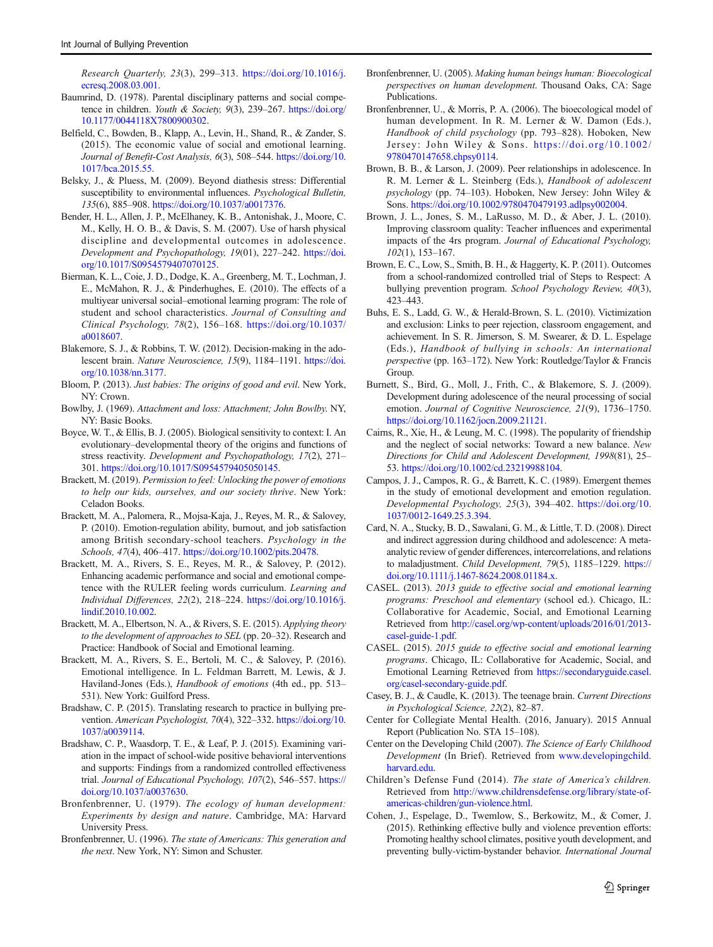<span id="page-14-0"></span>Research Quarterly, 23(3), 299–313. [https://doi.org/10.1016/j.](https://doi.org/10.1016/j.ecresq.2008.03.001) [ecresq.2008.03.001.](https://doi.org/10.1016/j.ecresq.2008.03.001)

- Baumrind, D. (1978). Parental disciplinary patterns and social competence in children. Youth & Society, 9(3), 239-267. [https://doi.org/](https://doi.org/10.1177/0044118X7800900302) [10.1177/0044118X7800900302.](https://doi.org/10.1177/0044118X7800900302)
- Belfield, C., Bowden, B., Klapp, A., Levin, H., Shand, R., & Zander, S. (2015). The economic value of social and emotional learning. Journal of Benefit-Cost Analysis, 6(3), 508-544. [https://doi.org/10.](https://doi.org/10.1017/bca.2015.55) [1017/bca.2015.55.](https://doi.org/10.1017/bca.2015.55)
- Belsky, J., & Pluess, M. (2009). Beyond diathesis stress: Differential susceptibility to environmental influences. Psychological Bulletin, 135(6), 885–908. [https://doi.org/10.1037/a0017376.](https://doi.org/10.1037/a0017376)
- Bender, H. L., Allen, J. P., McElhaney, K. B., Antonishak, J., Moore, C. M., Kelly, H. O. B., & Davis, S. M. (2007). Use of harsh physical discipline and developmental outcomes in adolescence. Development and Psychopathology, 19(01), 227–242. [https://doi.](https://doi.org/10.1017/S0954579407070125) [org/10.1017/S0954579407070125.](https://doi.org/10.1017/S0954579407070125)
- Bierman, K. L., Coie, J. D., Dodge, K. A., Greenberg, M. T., Lochman, J. E., McMahon, R. J., & Pinderhughes, E. (2010). The effects of a multiyear universal social–emotional learning program: The role of student and school characteristics. Journal of Consulting and Clinical Psychology, 78(2), 156–168. [https://doi.org/10.1037/](https://doi.org/10.1037/a0018607) [a0018607.](https://doi.org/10.1037/a0018607)
- Blakemore, S. J., & Robbins, T. W. (2012). Decision-making in the adolescent brain. Nature Neuroscience, 15(9), 1184–1191. [https://doi.](https://doi.org/10.1038/nn.3177) [org/10.1038/nn.3177.](https://doi.org/10.1038/nn.3177)
- Bloom, P. (2013). Just babies: The origins of good and evil. New York, NY: Crown.
- Bowlby, J. (1969). Attachment and loss: Attachment; John Bowlby. NY, NY: Basic Books.
- Boyce, W. T., & Ellis, B. J. (2005). Biological sensitivity to context: I. An evolutionary–developmental theory of the origins and functions of stress reactivity. Development and Psychopathology, 17(2), 271– 301. <https://doi.org/10.1017/S0954579405050145>.
- Brackett, M. (2019). Permission to feel: Unlocking the power of emotions to help our kids, ourselves, and our society thrive. New York: Celadon Books.
- Brackett, M. A., Palomera, R., Mojsa-Kaja, J., Reyes, M. R., & Salovey, P. (2010). Emotion-regulation ability, burnout, and job satisfaction among British secondary-school teachers. Psychology in the Schools, 47(4), 406–417. <https://doi.org/10.1002/pits.20478>.
- Brackett, M. A., Rivers, S. E., Reyes, M. R., & Salovey, P. (2012). Enhancing academic performance and social and emotional competence with the RULER feeling words curriculum. Learning and Individual Differences, 22(2), 218–224. [https://doi.org/10.1016/j.](https://doi.org/10.1016/j.lindif.2010.10.002) [lindif.2010.10.002.](https://doi.org/10.1016/j.lindif.2010.10.002)
- Brackett, M. A., Elbertson, N. A., & Rivers, S. E. (2015). Applying theory to the development of approaches to SEL (pp. 20–32). Research and Practice: Handbook of Social and Emotional learning.
- Brackett, M. A., Rivers, S. E., Bertoli, M. C., & Salovey, P. (2016). Emotional intelligence. In L. Feldman Barrett, M. Lewis, & J. Haviland-Jones (Eds.), Handbook of emotions (4th ed., pp. 513– 531). New York: Guilford Press.
- Bradshaw, C. P. (2015). Translating research to practice in bullying prevention. American Psychologist, 70(4), 322–332. [https://doi.org/10.](https://doi.org/10.1037/a0039114) [1037/a0039114.](https://doi.org/10.1037/a0039114)
- Bradshaw, C. P., Waasdorp, T. E., & Leaf, P. J. (2015). Examining variation in the impact of school-wide positive behavioral interventions and supports: Findings from a randomized controlled effectiveness trial. Journal of Educational Psychology, 107(2), 546–557. [https://](https://doi.org/10.1037/a0037630) [doi.org/10.1037/a0037630](https://doi.org/10.1037/a0037630).
- Bronfenbrenner, U. (1979). The ecology of human development: Experiments by design and nature. Cambridge, MA: Harvard University Press.
- Bronfenbrenner, U. (1996). The state of Americans: This generation and the next. New York, NY: Simon and Schuster.
- Bronfenbrenner, U. (2005). Making human beings human: Bioecological perspectives on human development. Thousand Oaks, CA: Sage Publications.
- Bronfenbrenner, U., & Morris, P. A. (2006). The bioecological model of human development. In R. M. Lerner & W. Damon (Eds.), Handbook of child psychology (pp. 793–828). Hoboken, New Jersey: John Wiley & Sons. [https://doi.org/10.1002/](https://doi.org/10.1002/9780470147658.chpsy0114) [9780470147658.chpsy0114](https://doi.org/10.1002/9780470147658.chpsy0114).
- Brown, B. B., & Larson, J. (2009). Peer relationships in adolescence. In R. M. Lerner & L. Steinberg (Eds.), Handbook of adolescent psychology (pp. 74–103). Hoboken, New Jersey: John Wiley & Sons. <https://doi.org/10.1002/9780470479193.adlpsy002004>.
- Brown, J. L., Jones, S. M., LaRusso, M. D., & Aber, J. L. (2010). Improving classroom quality: Teacher influences and experimental impacts of the 4rs program. Journal of Educational Psychology, 102(1), 153–167.
- Brown, E. C., Low, S., Smith, B. H., & Haggerty, K. P. (2011). Outcomes from a school-randomized controlled trial of Steps to Respect: A bullying prevention program. School Psychology Review, 40(3), 423–443.
- Buhs, E. S., Ladd, G. W., & Herald-Brown, S. L. (2010). Victimization and exclusion: Links to peer rejection, classroom engagement, and achievement. In S. R. Jimerson, S. M. Swearer, & D. L. Espelage (Eds.), Handbook of bullying in schools: An international perspective (pp. 163–172). New York: Routledge/Taylor & Francis Group.
- Burnett, S., Bird, G., Moll, J., Frith, C., & Blakemore, S. J. (2009). Development during adolescence of the neural processing of social emotion. Journal of Cognitive Neuroscience, 21(9), 1736–1750. [https://doi.org/10.1162/jocn.2009.21121.](https://doi.org/10.1162/jocn.2009.21121)
- Cairns, R., Xie, H., & Leung, M. C. (1998). The popularity of friendship and the neglect of social networks: Toward a new balance. New Directions for Child and Adolescent Development, 1998(81), 25– 53. [https://doi.org/10.1002/cd.23219988104.](https://doi.org/10.1002/cd.23219988104)
- Campos, J. J., Campos, R. G., & Barrett, K. C. (1989). Emergent themes in the study of emotional development and emotion regulation. Developmental Psychology, 25(3), 394–402. [https://doi.org/10.](https://doi.org/10.1037/0012-1649.25.3.394) [1037/0012-1649.25.3.394](https://doi.org/10.1037/0012-1649.25.3.394).
- Card, N. A., Stucky, B. D., Sawalani, G. M., & Little, T. D. (2008). Direct and indirect aggression during childhood and adolescence: A metaanalytic review of gender differences, intercorrelations, and relations to maladjustment. Child Development, 79(5), 1185-1229. [https://](https://doi.org/10.1111/j.1467-8624.2008.01184.x) [doi.org/10.1111/j.1467-8624.2008.01184.x.](https://doi.org/10.1111/j.1467-8624.2008.01184.x)
- CASEL. (2013). 2013 guide to effective social and emotional learning programs: Preschool and elementary (school ed.). Chicago, IL: Collaborative for Academic, Social, and Emotional Learning Retrieved from [http://casel.org/wp-content/uploads/2016/01/2013](http://casel.org/wp-content/uploads/2016/01/2013-casel-guide-1.pdf) [casel-guide-1.pdf.](http://casel.org/wp-content/uploads/2016/01/2013-casel-guide-1.pdf)
- CASEL. (2015). 2015 guide to effective social and emotional learning programs. Chicago, IL: Collaborative for Academic, Social, and Emotional Learning Retrieved from [https://secondaryguide.casel.](https://secondaryguide.casel.org/casel-secondary-guide.pdf) [org/casel-secondary-guide.pdf.](https://secondaryguide.casel.org/casel-secondary-guide.pdf)
- Casey, B. J., & Caudle, K. (2013). The teenage brain. Current Directions in Psychological Science, 22(2), 82–87.
- Center for Collegiate Mental Health. (2016, January). 2015 Annual Report (Publication No. STA 15–108).
- Center on the Developing Child (2007). The Science of Early Childhood Development (In Brief). Retrieved from [www.developingchild.](http://www.developingchild.harvard.edu) [harvard.edu.](http://www.developingchild.harvard.edu)
- Children's Defense Fund (2014). The state of America's children. Retrieved from [http://www.childrensdefense.org/library/state-of](http://www.childrensdefense.org/library/state-of-americas-children/gun-violence.html)[americas-children/gun-violence.html](http://www.childrensdefense.org/library/state-of-americas-children/gun-violence.html).
- Cohen, J., Espelage, D., Twemlow, S., Berkowitz, M., & Comer, J. (2015). Rethinking effective bully and violence prevention efforts: Promoting healthy school climates, positive youth development, and preventing bully-victim-bystander behavior. International Journal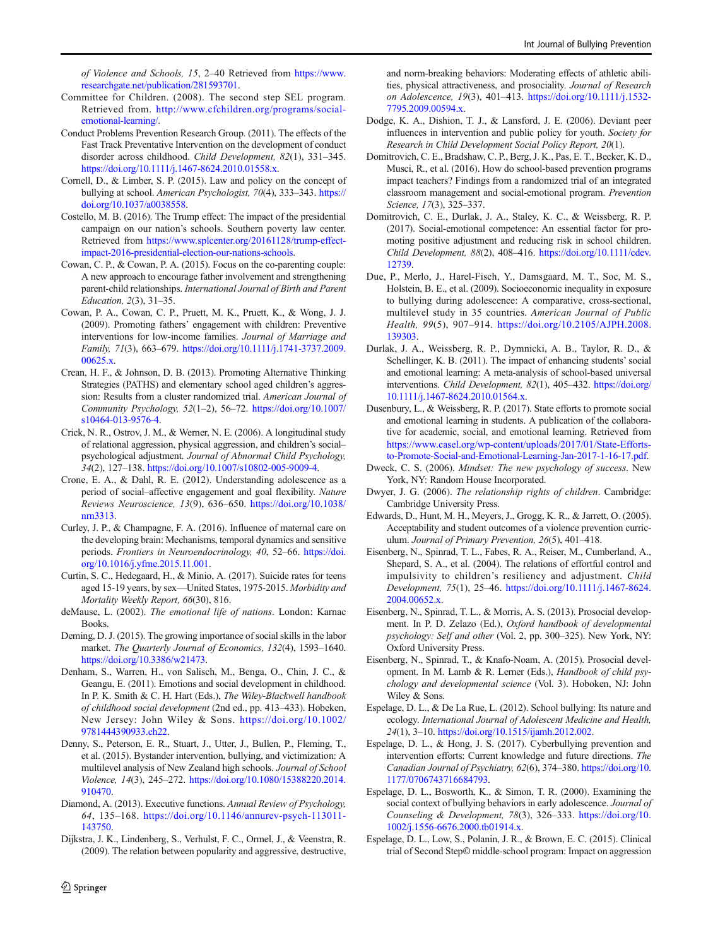<span id="page-15-0"></span>of Violence and Schools, 15, 2–40 Retrieved from [https://www.](https://www.researchgate.net/publication/281593701) [researchgate.net/publication/281593701.](https://www.researchgate.net/publication/281593701)

- Committee for Children. (2008). The second step SEL program. Retrieved from. [http://www.cfchildren.org/programs/social](http://www.cfchildren.org/programs/social-emotional-learning/)[emotional-learning/](http://www.cfchildren.org/programs/social-emotional-learning/).
- Conduct Problems Prevention Research Group. (2011). The effects of the Fast Track Preventative Intervention on the development of conduct disorder across childhood. Child Development, 82(1), 331–345. <https://doi.org/10.1111/j.1467-8624.2010.01558.x>.
- Cornell, D., & Limber, S. P. (2015). Law and policy on the concept of bullying at school. American Psychologist, 70(4), 333–343. [https://](https://doi.org/10.1037/a0038558) [doi.org/10.1037/a0038558](https://doi.org/10.1037/a0038558).
- Costello, M. B. (2016). The Trump effect: The impact of the presidential campaign on our nation's schools. Southern poverty law center. Retrieved from [https://www.splcenter.org/20161128/trump-effect](https://www.splcenter.org/20161128/trump-effect-impact-2016-presidential-election-our-nations-schools)[impact-2016-presidential-election-our-nations-schools.](https://www.splcenter.org/20161128/trump-effect-impact-2016-presidential-election-our-nations-schools)
- Cowan, C. P., & Cowan, P. A. (2015). Focus on the co-parenting couple: A new approach to encourage father involvement and strengthening parent-child relationships. International Journal of Birth and Parent Education, 2(3), 31–35.
- Cowan, P. A., Cowan, C. P., Pruett, M. K., Pruett, K., & Wong, J. J. (2009). Promoting fathers' engagement with children: Preventive interventions for low-income families. Journal of Marriage and Family, 71(3), 663–679. [https://doi.org/10.1111/j.1741-3737.2009.](https://doi.org/10.1111/j.1741-3737.2009.00625.x) [00625.x.](https://doi.org/10.1111/j.1741-3737.2009.00625.x)
- Crean, H. F., & Johnson, D. B. (2013). Promoting Alternative Thinking Strategies (PATHS) and elementary school aged children's aggression: Results from a cluster randomized trial. American Journal of Community Psychology, 52(1–2), 56–72. [https://doi.org/10.1007/](https://doi.org/10.1007/s10464-013-9576-4) [s10464-013-9576-4.](https://doi.org/10.1007/s10464-013-9576-4)
- Crick, N. R., Ostrov, J. M., & Werner, N. E. (2006). A longitudinal study of relational aggression, physical aggression, and children's social– psychological adjustment. Journal of Abnormal Child Psychology, 34(2), 127–138. [https://doi.org/10.1007/s10802-005-9009-4.](https://doi.org/10.1007/s10802-005-9009-4)
- Crone, E. A., & Dahl, R. E. (2012). Understanding adolescence as a period of social–affective engagement and goal flexibility. Nature Reviews Neuroscience, 13(9), 636–650. [https://doi.org/10.1038/](https://doi.org/10.1038/nrn3313) [nrn3313](https://doi.org/10.1038/nrn3313).
- Curley, J. P., & Champagne, F. A. (2016). Influence of maternal care on the developing brain: Mechanisms, temporal dynamics and sensitive periods. Frontiers in Neuroendocrinology, 40, 52–66. [https://doi.](https://doi.org/10.1016/j.yfrne.2015.11.001) [org/10.1016/j.yfrne.2015.11.001](https://doi.org/10.1016/j.yfrne.2015.11.001).
- Curtin, S. C., Hedegaard, H., & Minio, A. (2017). Suicide rates for teens aged 15-19 years, by sex—United States, 1975-2015. Morbidity and Mortality Weekly Report, 66(30), 816.
- deMause, L. (2002). The emotional life of nations. London: Karnac Books.
- Deming, D. J. (2015). The growing importance of social skills in the labor market. The Quarterly Journal of Economics, 132(4), 1593–1640. [https://doi.org/10.3386/w21473.](https://doi.org/10.3386/w21473)
- Denham, S., Warren, H., von Salisch, M., Benga, O., Chin, J. C., & Geangu, E. (2011). Emotions and social development in childhood. In P. K. Smith & C. H. Hart (Eds.), The Wiley-Blackwell handbook of childhood social development (2nd ed., pp. 413–433). Hobeken, New Jersey: John Wiley & Sons. [https://doi.org/10.1002/](https://doi.org/10.1002/9781444390933.ch22) [9781444390933.ch22.](https://doi.org/10.1002/9781444390933.ch22)
- Denny, S., Peterson, E. R., Stuart, J., Utter, J., Bullen, P., Fleming, T., et al. (2015). Bystander intervention, bullying, and victimization: A multilevel analysis of New Zealand high schools. Journal of School Violence, 14(3), 245–272. [https://doi.org/10.1080/15388220.2014.](https://doi.org/10.1080/15388220.2014.910470) [910470.](https://doi.org/10.1080/15388220.2014.910470)
- Diamond, A. (2013). Executive functions. Annual Review of Psychology, 64, 135–168. [https://doi.org/10.1146/annurev-psych-113011-](https://doi.org/10.1146/annurev-psych-113011-143750) [143750.](https://doi.org/10.1146/annurev-psych-113011-143750)
- Dijkstra, J. K., Lindenberg, S., Verhulst, F. C., Ormel, J., & Veenstra, R. (2009). The relation between popularity and aggressive, destructive,

and norm-breaking behaviors: Moderating effects of athletic abilities, physical attractiveness, and prosociality. Journal of Research on Adolescence, 19(3), 401–413. [https://doi.org/10.1111/j.1532-](https://doi.org/10.1111/j.1532-7795.2009.00594.x) [7795.2009.00594.x](https://doi.org/10.1111/j.1532-7795.2009.00594.x).

- Dodge, K. A., Dishion, T. J., & Lansford, J. E. (2006). Deviant peer influences in intervention and public policy for youth. Society for Research in Child Development Social Policy Report, 20(1).
- Domitrovich, C. E., Bradshaw, C. P., Berg, J. K., Pas, E. T., Becker, K. D., Musci, R., et al. (2016). How do school-based prevention programs impact teachers? Findings from a randomized trial of an integrated classroom management and social-emotional program. Prevention Science, 17(3), 325–337.
- Domitrovich, C. E., Durlak, J. A., Staley, K. C., & Weissberg, R. P. (2017). Social-emotional competence: An essential factor for promoting positive adjustment and reducing risk in school children. Child Development, 88(2), 408–416. [https://doi.org/10.1111/cdev.](https://doi.org/10.1111/cdev.12739) [12739.](https://doi.org/10.1111/cdev.12739)
- Due, P., Merlo, J., Harel-Fisch, Y., Damsgaard, M. T., Soc, M. S., Holstein, B. E., et al. (2009). Socioeconomic inequality in exposure to bullying during adolescence: A comparative, cross-sectional, multilevel study in 35 countries. American Journal of Public Health, 99(5), 907–914. [https://doi.org/10.2105/AJPH.2008.](https://doi.org/10.2105/AJPH.2008.139303) [139303.](https://doi.org/10.2105/AJPH.2008.139303)
- Durlak, J. A., Weissberg, R. P., Dymnicki, A. B., Taylor, R. D., & Schellinger, K. B. (2011). The impact of enhancing students' social and emotional learning: A meta-analysis of school-based universal interventions. Child Development, 82(1), 405–432. [https://doi.org/](https://doi.org/10.1111/j.1467-8624.2010.01564.x) [10.1111/j.1467-8624.2010.01564.x.](https://doi.org/10.1111/j.1467-8624.2010.01564.x)
- Dusenbury, L., & Weissberg, R. P. (2017). State efforts to promote social and emotional learning in students. A publication of the collaborative for academic, social, and emotional learning. Retrieved from [https://www.casel.org/wp-content/uploads/2017/01/State-Efforts](https://www.casel.org/wp-content/uploads/2017/01/State-Efforts-to-Promote-Social-and-Emotional-Learning-Jan-2017-1-16-17.pdf)[to-Promote-Social-and-Emotional-Learning-Jan-2017-1-16-17.pdf](https://www.casel.org/wp-content/uploads/2017/01/State-Efforts-to-Promote-Social-and-Emotional-Learning-Jan-2017-1-16-17.pdf).
- Dweck, C. S. (2006). Mindset: The new psychology of success. New York, NY: Random House Incorporated.
- Dwyer, J. G. (2006). The relationship rights of children. Cambridge: Cambridge University Press.
- Edwards, D., Hunt, M. H., Meyers, J., Grogg, K. R., & Jarrett, O. (2005). Acceptability and student outcomes of a violence prevention curriculum. Journal of Primary Prevention, 26(5), 401–418.
- Eisenberg, N., Spinrad, T. L., Fabes, R. A., Reiser, M., Cumberland, A., Shepard, S. A., et al. (2004). The relations of effortful control and impulsivity to children's resiliency and adjustment. Child Development, 75(1), 25–46. [https://doi.org/10.1111/j.1467-8624.](https://doi.org/10.1111/j.1467-8624.2004.00652.x) [2004.00652.x](https://doi.org/10.1111/j.1467-8624.2004.00652.x).
- Eisenberg, N., Spinrad, T. L., & Morris, A. S. (2013). Prosocial development. In P. D. Zelazo (Ed.), Oxford handbook of developmental psychology: Self and other (Vol. 2, pp. 300–325). New York, NY: Oxford University Press.
- Eisenberg, N., Spinrad, T., & Knafo-Noam, A. (2015). Prosocial development. In M. Lamb & R. Lerner (Eds.), Handbook of child psychology and developmental science (Vol. 3). Hoboken, NJ: John Wiley & Sons.
- Espelage, D. L., & De La Rue, L. (2012). School bullying: Its nature and ecology. International Journal of Adolescent Medicine and Health, 24(1), 3–10. <https://doi.org/10.1515/ijamh.2012.002>.
- Espelage, D. L., & Hong, J. S. (2017). Cyberbullying prevention and intervention efforts: Current knowledge and future directions. The Canadian Journal of Psychiatry, 62(6), 374–380. [https://doi.org/10.](https://doi.org/10.1177/0706743716684793) [1177/0706743716684793.](https://doi.org/10.1177/0706743716684793)
- Espelage, D. L., Bosworth, K., & Simon, T. R. (2000). Examining the social context of bullying behaviors in early adolescence. Journal of Counseling & Development, 78(3), 326–333. [https://doi.org/10.](https://doi.org/10.1002/j.1556-6676.2000.tb01914.x) [1002/j.1556-6676.2000.tb01914.x](https://doi.org/10.1002/j.1556-6676.2000.tb01914.x).
- Espelage, D. L., Low, S., Polanin, J. R., & Brown, E. C. (2015). Clinical trial of Second Step© middle-school program: Impact on aggression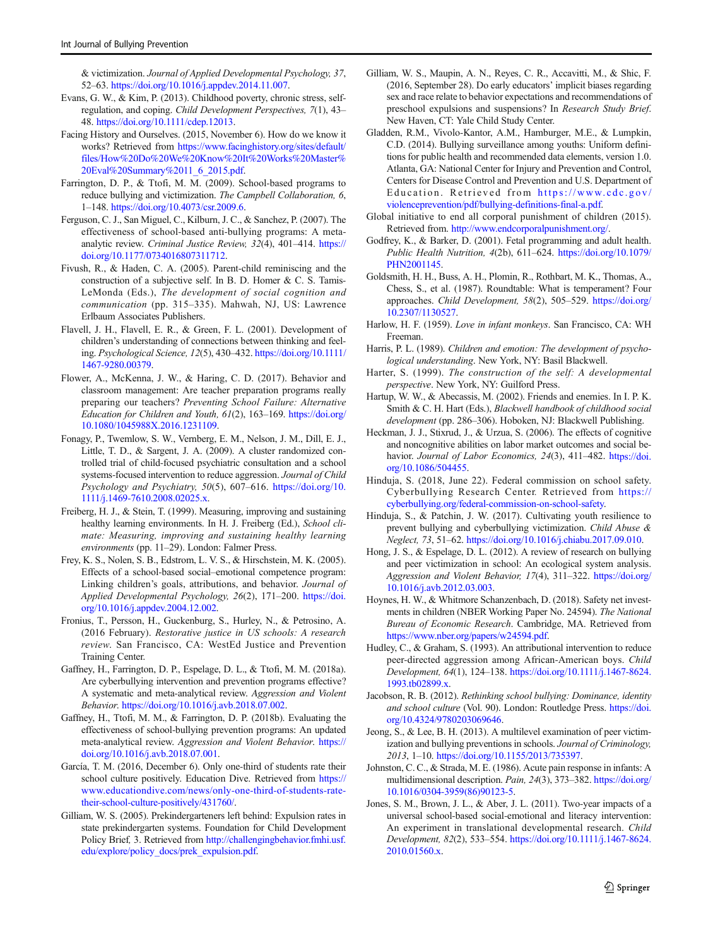<span id="page-16-0"></span>& victimization. Journal of Applied Developmental Psychology, 37, 52–63. <https://doi.org/10.1016/j.appdev.2014.11.007>.

- Evans, G. W., & Kim, P. (2013). Childhood poverty, chronic stress, selfregulation, and coping. Child Development Perspectives, 7(1), 43– 48. [https://doi.org/10.1111/cdep.12013.](https://doi.org/10.1111/cdep.12013)
- Facing History and Ourselves. (2015, November 6). How do we know it works? Retrieved from [https://www.facinghistory.org/sites/default/](https://www.facinghistory.org/sites/default/files/How%20Do%20We%20Know%20It%20Works%20Master%20Eval%20Summary%2011_6_2015.pdf) [files/How%20Do%20We%20Know%20It%20Works%20Master%](https://www.facinghistory.org/sites/default/files/How%20Do%20We%20Know%20It%20Works%20Master%20Eval%20Summary%2011_6_2015.pdf) [20Eval%20Summary%2011\\_6\\_2015.pdf](https://www.facinghistory.org/sites/default/files/How%20Do%20We%20Know%20It%20Works%20Master%20Eval%20Summary%2011_6_2015.pdf).
- Farrington, D. P., & Ttofi, M. M. (2009). School-based programs to reduce bullying and victimization. The Campbell Collaboration, 6, 1–148. [https://doi.org/10.4073/csr.2009.6.](https://doi.org/10.4073/csr.2009.6)
- Ferguson, C. J., San Miguel, C., Kilburn, J. C., & Sanchez, P. (2007). The effectiveness of school-based anti-bullying programs: A metaanalytic review. Criminal Justice Review, 32(4), 401–414. [https://](https://doi.org/10.1177/0734016807311712) [doi.org/10.1177/0734016807311712](https://doi.org/10.1177/0734016807311712).
- Fivush, R., & Haden, C. A. (2005). Parent-child reminiscing and the construction of a subjective self. In B. D. Homer & C. S. Tamis-LeMonda (Eds.), The development of social cognition and communication (pp. 315–335). Mahwah, NJ, US: Lawrence Erlbaum Associates Publishers.
- Flavell, J. H., Flavell, E. R., & Green, F. L. (2001). Development of children's understanding of connections between thinking and feeling. Psychological Science, 12(5), 430–432. [https://doi.org/10.1111/](https://doi.org/10.1111/1467-9280.00379) [1467-9280.00379](https://doi.org/10.1111/1467-9280.00379).
- Flower, A., McKenna, J. W., & Haring, C. D. (2017). Behavior and classroom management: Are teacher preparation programs really preparing our teachers? Preventing School Failure: Alternative Education for Children and Youth, 61(2), 163–169. [https://doi.org/](https://doi.org/10.1080/1045988X.2016.1231109) [10.1080/1045988X.2016.1231109](https://doi.org/10.1080/1045988X.2016.1231109).
- Fonagy, P., Twemlow, S. W., Vernberg, E. M., Nelson, J. M., Dill, E. J., Little, T. D., & Sargent, J. A. (2009). A cluster randomized controlled trial of child-focused psychiatric consultation and a school systems-focused intervention to reduce aggression. Journal of Child Psychology and Psychiatry, 50(5), 607–616. [https://doi.org/10.](https://doi.org/10.1111/j.1469-7610.2008.02025.x) [1111/j.1469-7610.2008.02025.x](https://doi.org/10.1111/j.1469-7610.2008.02025.x).
- Freiberg, H. J., & Stein, T. (1999). Measuring, improving and sustaining healthy learning environments. In H. J. Freiberg (Ed.), School climate: Measuring, improving and sustaining healthy learning environments (pp. 11–29). London: Falmer Press.
- Frey, K. S., Nolen, S. B., Edstrom, L. V. S., & Hirschstein, M. K. (2005). Effects of a school-based social–emotional competence program: Linking children's goals, attributions, and behavior. Journal of Applied Developmental Psychology, 26(2), 171–200. [https://doi.](https://doi.org/10.1016/j.appdev.2004.12.002) [org/10.1016/j.appdev.2004.12.002.](https://doi.org/10.1016/j.appdev.2004.12.002)
- Fronius, T., Persson, H., Guckenburg, S., Hurley, N., & Petrosino, A. (2016 February). Restorative justice in US schools: A research review. San Francisco, CA: WestEd Justice and Prevention Training Center.
- Gaffney, H., Farrington, D. P., Espelage, D. L., & Ttofi, M. M. (2018a). Are cyberbullying intervention and prevention programs effective? A systematic and meta-analytical review. Aggression and Violent Behavior. <https://doi.org/10.1016/j.avb.2018.07.002>.
- Gaffney, H., Ttofi, M. M., & Farrington, D. P. (2018b). Evaluating the effectiveness of school-bullying prevention programs: An updated meta-analytical review. Aggression and Violent Behavior. [https://](https://doi.org/10.1016/j.avb.2018.07.001) [doi.org/10.1016/j.avb.2018.07.001.](https://doi.org/10.1016/j.avb.2018.07.001)
- García, T. M. (2016, December 6). Only one-third of students rate their school culture positively. Education Dive. Retrieved from [https://](https://www.educationdive.com/news/only-one-third-of-students-rate-their-school-culture-positively/431760/) [www.educationdive.com/news/only-one-third-of-students-rate](https://www.educationdive.com/news/only-one-third-of-students-rate-their-school-culture-positively/431760/)[their-school-culture-positively/431760/.](https://www.educationdive.com/news/only-one-third-of-students-rate-their-school-culture-positively/431760/)
- Gilliam, W. S. (2005). Prekindergarteners left behind: Expulsion rates in state prekindergarten systems. Foundation for Child Development Policy Brief, 3. Retrieved from [http://challengingbehavior.fmhi.usf.](http://challengingbehavior.fmhi.usf.edu/explore/policy_docs/prek_expulsion.pdf) [edu/explore/policy\\_docs/prek\\_expulsion.pdf.](http://challengingbehavior.fmhi.usf.edu/explore/policy_docs/prek_expulsion.pdf)
- Gilliam, W. S., Maupin, A. N., Reyes, C. R., Accavitti, M., & Shic, F. (2016, September 28). Do early educators' implicit biases regarding sex and race relate to behavior expectations and recommendations of preschool expulsions and suspensions? In Research Study Brief. New Haven, CT: Yale Child Study Center.
- Gladden, R.M., Vivolo-Kantor, A.M., Hamburger, M.E., & Lumpkin, C.D. (2014). Bullying surveillance among youths: Uniform definitions for public health and recommended data elements, version 1.0. Atlanta, GA: National Center for Injury and Prevention and Control, Centers for Disease Control and Prevention and U.S. Department of Education. Retrieved from [https://www.cdc.gov/](https://www.cdc.gov/violenceprevention/pdf/bullying-definitions-final-a.pdf) [violenceprevention/pdf/bullying-definitions-final-a.pdf](https://www.cdc.gov/violenceprevention/pdf/bullying-definitions-final-a.pdf).
- Global initiative to end all corporal punishment of children (2015). Retrieved from. <http://www.endcorporalpunishment.org/>.
- Godfrey, K., & Barker, D. (2001). Fetal programming and adult health. Public Health Nutrition, 4(2b), 611–624. [https://doi.org/10.1079/](https://doi.org/10.1079/PHN2001145) [PHN2001145](https://doi.org/10.1079/PHN2001145).
- Goldsmith, H. H., Buss, A. H., Plomin, R., Rothbart, M. K., Thomas, A., Chess, S., et al. (1987). Roundtable: What is temperament? Four approaches. Child Development, 58(2), 505-529. [https://doi.org/](https://doi.org/10.2307/1130527) [10.2307/1130527.](https://doi.org/10.2307/1130527)
- Harlow, H. F. (1959). Love in infant monkeys. San Francisco, CA: WH Freeman.
- Harris, P. L. (1989). Children and emotion: The development of psychological understanding. New York, NY: Basil Blackwell.
- Harter, S. (1999). The construction of the self: A developmental perspective. New York, NY: Guilford Press.
- Hartup, W. W., & Abecassis, M. (2002). Friends and enemies. In I. P. K. Smith & C. H. Hart (Eds.), Blackwell handbook of childhood social development (pp. 286–306). Hoboken, NJ: Blackwell Publishing.
- Heckman, J. J., Stixrud, J., & Urzua, S. (2006). The effects of cognitive and noncognitive abilities on labor market outcomes and social behavior. Journal of Labor Economics, 24(3), 411-482. [https://doi.](https://doi.org/10.1086/504455) [org/10.1086/504455.](https://doi.org/10.1086/504455)
- Hinduja, S. (2018, June 22). Federal commission on school safety. Cyberbullying Research Center. Retrieved from [https://](https://cyberbullying.org/federal-commission-on-school-safety) [cyberbullying.org/federal-commission-on-school-safety.](https://cyberbullying.org/federal-commission-on-school-safety)
- Hinduja, S., & Patchin, J. W. (2017). Cultivating youth resilience to prevent bullying and cyberbullying victimization. Child Abuse & Neglect, 73, 51–62. <https://doi.org/10.1016/j.chiabu.2017.09.010>.
- Hong, J. S., & Espelage, D. L. (2012). A review of research on bullying and peer victimization in school: An ecological system analysis. Aggression and Violent Behavior, 17(4), 311–322. [https://doi.org/](https://doi.org/10.1016/j.avb.2012.03.003) [10.1016/j.avb.2012.03.003](https://doi.org/10.1016/j.avb.2012.03.003).
- Hoynes, H. W., & Whitmore Schanzenbach, D. (2018). Safety net investments in children (NBER Working Paper No. 24594). The National Bureau of Economic Research. Cambridge, MA. Retrieved from <https://www.nber.org/papers/w24594.pdf>.
- Hudley, C., & Graham, S. (1993). An attributional intervention to reduce peer-directed aggression among African-American boys. Child Development, 64(1), 124–138. [https://doi.org/10.1111/j.1467-8624.](https://doi.org/10.1111/j.1467-8624.1993.tb02899.x) [1993.tb02899.x.](https://doi.org/10.1111/j.1467-8624.1993.tb02899.x)
- Jacobson, R. B. (2012). Rethinking school bullying: Dominance, identity and school culture (Vol. 90). London: Routledge Press. [https://doi.](https://doi.org/10.4324/9780203069646) [org/10.4324/9780203069646.](https://doi.org/10.4324/9780203069646)
- Jeong, S., & Lee, B. H. (2013). A multilevel examination of peer victimization and bullying preventions in schools. Journal of Criminology, 2013, 1–10. <https://doi.org/10.1155/2013/735397>.
- Johnston, C. C., & Strada, M. E. (1986). Acute pain response in infants: A multidimensional description. Pain, 24(3), 373–382. [https://doi.org/](https://doi.org/10.1016/0304-3959(86)90123-5) [10.1016/0304-3959\(86\)90123-5.](https://doi.org/10.1016/0304-3959(86)90123-5)
- Jones, S. M., Brown, J. L., & Aber, J. L. (2011). Two-year impacts of a universal school-based social-emotional and literacy intervention: An experiment in translational developmental research. Child Development, 82(2), 533–554. [https://doi.org/10.1111/j.1467-8624.](https://doi.org/10.1111/j.1467-8624.2010.01560.x) [2010.01560.x](https://doi.org/10.1111/j.1467-8624.2010.01560.x).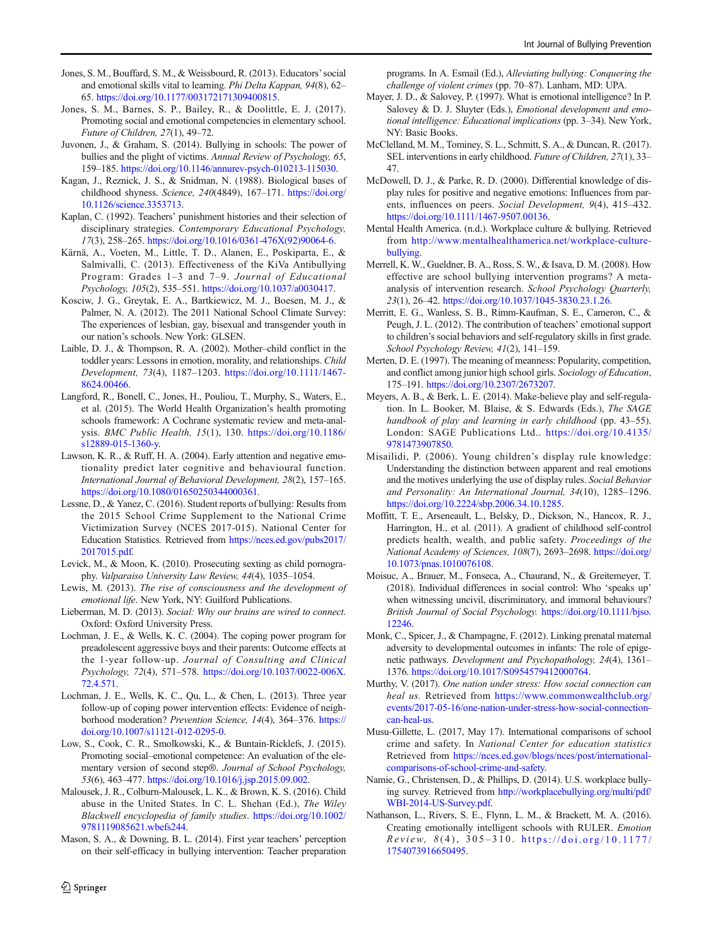- <span id="page-17-0"></span>Jones, S. M., Bouffard, S. M., & Weissbourd, R. (2013). Educators'social and emotional skills vital to learning. Phi Delta Kappan, 94(8), 62– 65. [https://doi.org/10.1177/003172171309400815.](https://doi.org/10.1177/003172171309400815)
- Jones, S. M., Barnes, S. P., Bailey, R., & Doolittle, E. J. (2017). Promoting social and emotional competencies in elementary school. Future of Children, 27(1), 49–72.
- Juvonen, J., & Graham, S. (2014). Bullying in schools: The power of bullies and the plight of victims. Annual Review of Psychology, 65, 159–185. [https://doi.org/10.1146/annurev-psych-010213-115030.](https://doi.org/10.1146/annurev-psych-010213-115030)
- Kagan, J., Reznick, J. S., & Snidman, N. (1988). Biological bases of childhood shyness. Science, 240(4849), 167–171. [https://doi.org/](https://doi.org/10.1126/science.3353713) [10.1126/science.3353713.](https://doi.org/10.1126/science.3353713)
- Kaplan, C. (1992). Teachers' punishment histories and their selection of disciplinary strategies. Contemporary Educational Psychology, 17(3), 258–265. [https://doi.org/10.1016/0361-476X\(92\)90064-6.](https://doi.org/10.1016/0361-476X(92)90064-6)
- Kärnä, A., Voeten, M., Little, T. D., Alanen, E., Poskiparta, E., & Salmivalli, C. (2013). Effectiveness of the KiVa Antibullying Program: Grades 1–3 and 7–9. Journal of Educational Psychology, 105(2), 535–551. <https://doi.org/10.1037/a0030417>.
- Kosciw, J. G., Greytak, E. A., Bartkiewicz, M. J., Boesen, M. J., & Palmer, N. A. (2012). The 2011 National School Climate Survey: The experiences of lesbian, gay, bisexual and transgender youth in our nation's schools. New York: GLSEN.
- Laible, D. J., & Thompson, R. A. (2002). Mother–child conflict in the toddler years: Lessons in emotion, morality, and relationships. Child Development, 73(4), 1187–1203. [https://doi.org/10.1111/1467-](https://doi.org/10.1111/1467-8624.00466) [8624.00466](https://doi.org/10.1111/1467-8624.00466).
- Langford, R., Bonell, C., Jones, H., Pouliou, T., Murphy, S., Waters, E., et al. (2015). The World Health Organization's health promoting schools framework: A Cochrane systematic review and meta-analysis. BMC Public Health, 15(1), 130. [https://doi.org/10.1186/](https://doi.org/10.1186/s12889-015-1360-y) [s12889-015-1360-y.](https://doi.org/10.1186/s12889-015-1360-y)
- Lawson, K. R., & Ruff, H. A. (2004). Early attention and negative emotionality predict later cognitive and behavioural function. International Journal of Behavioral Development, 28(2), 157–165. <https://doi.org/10.1080/01650250344000361>.
- Lessne, D., & Yanez, C. (2016). Student reports of bullying: Results from the 2015 School Crime Supplement to the National Crime Victimization Survey (NCES 2017-015). National Center for Education Statistics. Retrieved from [https://nces.ed.gov/pubs2017/](https://nces.ed.gov/pubs2017/2017015.pdf) [2017015.pdf.](https://nces.ed.gov/pubs2017/2017015.pdf)
- Levick, M., & Moon, K. (2010). Prosecuting sexting as child pornography. Valparaiso University Law Review, 44(4), 1035–1054.
- Lewis, M. (2013). The rise of consciousness and the development of emotional life. New York, NY: Guilford Publications.
- Lieberman, M. D. (2013). Social: Why our brains are wired to connect. Oxford: Oxford University Press.
- Lochman, J. E., & Wells, K. C. (2004). The coping power program for preadolescent aggressive boys and their parents: Outcome effects at the 1-year follow-up. Journal of Consulting and Clinical Psychology, 72(4), 571–578. [https://doi.org/10.1037/0022-006X.](https://doi.org/10.1037/0022-006X.72.4.571) [72.4.571.](https://doi.org/10.1037/0022-006X.72.4.571)
- Lochman, J. E., Wells, K. C., Qu, L., & Chen, L. (2013). Three year follow-up of coping power intervention effects: Evidence of neighborhood moderation? Prevention Science, 14(4), 364–376. [https://](https://doi.org/10.1007/s11121-012-0295-0) [doi.org/10.1007/s11121-012-0295-0.](https://doi.org/10.1007/s11121-012-0295-0)
- Low, S., Cook, C. R., Smolkowski, K., & Buntain-Ricklefs, J. (2015). Promoting social–emotional competence: An evaluation of the elementary version of second step®. Journal of School Psychology, 53(6), 463–477. <https://doi.org/10.1016/j.jsp.2015.09.002>.
- Malousek, J. R., Colburn-Malousek, L. K., & Brown, K. S. (2016). Child abuse in the United States. In C. L. Shehan (Ed.), The Wiley Blackwell encyclopedia of family studies. [https://doi.org/10.1002/](https://doi.org/10.1002/9781119085621.wbefs244) [9781119085621.wbefs244](https://doi.org/10.1002/9781119085621.wbefs244).
- Mason, S. A., & Downing, B. L. (2014). First year teachers' perception on their self-efficacy in bullying intervention: Teacher preparation

 $\hat{Z}$  Springer

programs. In A. Esmail (Ed.), Alleviating bullying: Conquering the challenge of violent crimes (pp. 70–87). Lanham, MD: UPA.

- Mayer, J. D., & Salovey, P. (1997). What is emotional intelligence? In P. Salovey & D. J. Sluyter (Eds.), *Emotional development and emo*tional intelligence: Educational implications (pp. 3–34). New York, NY: Basic Books.
- McClelland, M. M., Tominey, S. L., Schmitt, S. A., & Duncan, R. (2017). SEL interventions in early childhood. Future of Children, 27(1), 33– 47.
- McDowell, D. J., & Parke, R. D. (2000). Differential knowledge of display rules for positive and negative emotions: Influences from parents, influences on peers. Social Development, 9(4), 415–432. [https://doi.org/10.1111/1467-9507.00136.](https://doi.org/10.1111/1467-9507.00136)
- Mental Health America. (n.d.). Workplace culture & bullying. Retrieved from [http://www.mentalhealthamerica.net/workplace-culture](http://www.mentalhealthamerica.net/workplace-culture-bullying)[bullying](http://www.mentalhealthamerica.net/workplace-culture-bullying).
- Merrell, K. W., Gueldner, B. A., Ross, S. W., & Isava, D. M. (2008). How effective are school bullying intervention programs? A metaanalysis of intervention research. School Psychology Quarterly, 23(1), 26–42. <https://doi.org/10.1037/1045-3830.23.1.26>.
- Merritt, E. G., Wanless, S. B., Rimm-Kaufman, S. E., Cameron, C., & Peugh, J. L. (2012). The contribution of teachers' emotional support to children's social behaviors and self-regulatory skills in first grade. School Psychology Review, 41(2), 141–159.
- Merten, D. E. (1997). The meaning of meanness: Popularity, competition, and conflict among junior high school girls. Sociology of Education, 175–191. <https://doi.org/10.2307/2673207>.
- Meyers, A. B., & Berk, L. E. (2014). Make-believe play and self-regulation. In L. Booker, M. Blaise, & S. Edwards (Eds.), The SAGE handbook of play and learning in early childhood (pp. 43–55). London: SAGE Publications Ltd.. [https://doi.org/10.4135/](https://doi.org/10.4135/9781473907850) [9781473907850.](https://doi.org/10.4135/9781473907850)
- Misailidi, P. (2006). Young children's display rule knowledge: Understanding the distinction between apparent and real emotions and the motives underlying the use of display rules. Social Behavior and Personality: An International Journal, 34(10), 1285–1296. <https://doi.org/10.2224/sbp.2006.34.10.1285>.
- Moffitt, T. E., Arseneault, L., Belsky, D., Dickson, N., Hancox, R. J., Harrington, H., et al. (2011). A gradient of childhood self-control predicts health, wealth, and public safety. Proceedings of the National Academy of Sciences, 108(7), 2693–2698. [https://doi.org/](https://doi.org/10.1073/pnas.1010076108) [10.1073/pnas.1010076108.](https://doi.org/10.1073/pnas.1010076108)
- Moisuc, A., Brauer, M., Fonseca, A., Chaurand, N., & Greitemeyer, T. (2018). Individual differences in social control: Who 'speaks up' when witnessing uncivil, discriminatory, and immoral behaviours? British Journal of Social Psychology. [https://doi.org/10.1111/bjso.](https://doi.org/10.1111/bjso.12246) [12246.](https://doi.org/10.1111/bjso.12246)
- Monk, C., Spicer, J., & Champagne, F. (2012). Linking prenatal maternal adversity to developmental outcomes in infants: The role of epigenetic pathways. Development and Psychopathology, 24(4), 1361– 1376. [https://doi.org/10.1017/S0954579412000764.](https://doi.org/10.1017/S0954579412000764)
- Murthy, V. (2017). One nation under stress: How social connection can heal us. Retrieved from [https://www.commonwealthclub.org/](https://www.commonwealthclub.org/events/2017-05-16/one-nation-under-stress-how-social-connection-can-heal-us) [events/2017-05-16/one-nation-under-stress-how-social-connection](https://www.commonwealthclub.org/events/2017-05-16/one-nation-under-stress-how-social-connection-can-heal-us)[can-heal-us.](https://www.commonwealthclub.org/events/2017-05-16/one-nation-under-stress-how-social-connection-can-heal-us)
- Musu-Gillette, L. (2017, May 17). International comparisons of school crime and safety. In National Center for education statistics Retrieved from [https://nces.ed.gov/blogs/nces/post/international](https://nces.ed.gov/blogs/nces/post/international-comparisons-of-school-crime-and-safety)[comparisons-of-school-crime-and-safety.](https://nces.ed.gov/blogs/nces/post/international-comparisons-of-school-crime-and-safety)
- Namie, G., Christensen, D., & Phillips, D. (2014). U.S. workplace bullying survey. Retrieved from [http://workplacebullying.org/multi/pdf/](http://workplacebullying.org/multi/pdf/WBI-2014-US-Survey.pdf) [WBI-2014-US-Survey.pdf.](http://workplacebullying.org/multi/pdf/WBI-2014-US-Survey.pdf)
- Nathanson, L., Rivers, S. E., Flynn, L. M., & Brackett, M. A. (2016). Creating emotionally intelligent schools with RULER. Emotion  $Review, 8(4), 305-310. <https://doi.org/10.1177/>$  $Review, 8(4), 305-310. <https://doi.org/10.1177/>$  $Review, 8(4), 305-310. <https://doi.org/10.1177/>$ [1754073916650495](https://doi.org/10.1177/1754073916650495).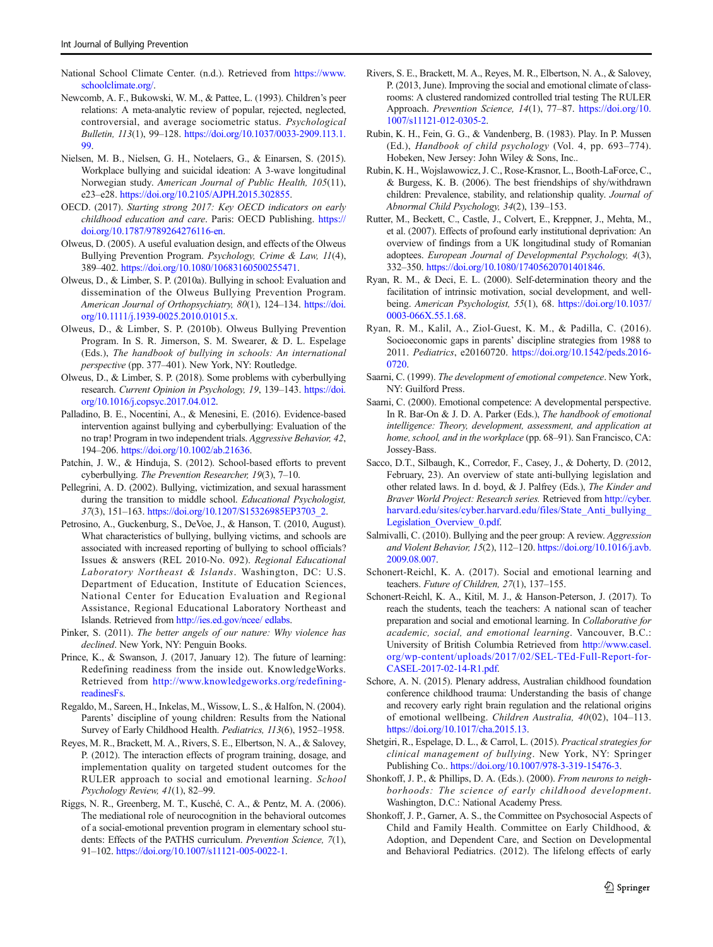- <span id="page-18-0"></span>National School Climate Center. (n.d.). Retrieved from [https://www.](https://www.schoolclimate.org/) [schoolclimate.org/](https://www.schoolclimate.org/).
- Newcomb, A. F., Bukowski, W. M., & Pattee, L. (1993). Children's peer relations: A meta-analytic review of popular, rejected, neglected, controversial, and average sociometric status. Psychological Bulletin, 113(1), 99–128. [https://doi.org/10.1037/0033-2909.113.1.](https://doi.org/10.1037/0033-2909.113.1.99) [99](https://doi.org/10.1037/0033-2909.113.1.99).
- Nielsen, M. B., Nielsen, G. H., Notelaers, G., & Einarsen, S. (2015). Workplace bullying and suicidal ideation: A 3-wave longitudinal Norwegian study. American Journal of Public Health, 105(11), e23–e28. <https://doi.org/10.2105/AJPH.2015.302855>.
- OECD. (2017). Starting strong 2017: Key OECD indicators on early childhood education and care. Paris: OECD Publishing. [https://](https://doi.org/10.1787/9789264276116-en) [doi.org/10.1787/9789264276116-en](https://doi.org/10.1787/9789264276116-en).
- Olweus, D. (2005). A useful evaluation design, and effects of the Olweus Bullying Prevention Program. Psychology, Crime & Law, 11(4), 389–402. <https://doi.org/10.1080/10683160500255471>.
- Olweus, D., & Limber, S. P. (2010a). Bullying in school: Evaluation and dissemination of the Olweus Bullying Prevention Program. American Journal of Orthopsychiatry, 80(1), 124-134. [https://doi.](https://doi.org/10.1111/j.1939-0025.2010.01015.x) [org/10.1111/j.1939-0025.2010.01015.x.](https://doi.org/10.1111/j.1939-0025.2010.01015.x)
- Olweus, D., & Limber, S. P. (2010b). Olweus Bullying Prevention Program. In S. R. Jimerson, S. M. Swearer, & D. L. Espelage (Eds.), The handbook of bullying in schools: An international perspective (pp. 377–401). New York, NY: Routledge.
- Olweus, D., & Limber, S. P. (2018). Some problems with cyberbullying research. Current Opinion in Psychology, 19, 139-143. [https://doi.](https://doi.org/10.1016/j.copsyc.2017.04.012) [org/10.1016/j.copsyc.2017.04.012](https://doi.org/10.1016/j.copsyc.2017.04.012).
- Palladino, B. E., Nocentini, A., & Menesini, E. (2016). Evidence-based intervention against bullying and cyberbullying: Evaluation of the no trap! Program in two independent trials. Aggressive Behavior, 42, 194–206. [https://doi.org/10.1002/ab.21636.](https://doi.org/10.1002/ab.21636)
- Patchin, J. W., & Hinduja, S. (2012). School-based efforts to prevent cyberbullying. The Prevention Researcher, 19(3), 7–10.
- Pellegrini, A. D. (2002). Bullying, victimization, and sexual harassment during the transition to middle school. Educational Psychologist, 37(3), 151–163. [https://doi.org/10.1207/S15326985EP3703\\_2](https://doi.org/10.1207/S15326985EP3703_2).
- Petrosino, A., Guckenburg, S., DeVoe, J., & Hanson, T. (2010, August). What characteristics of bullying, bullying victims, and schools are associated with increased reporting of bullying to school officials? Issues & answers (REL 2010-No. 092). Regional Educational Laboratory Northeast & Islands. Washington, DC: U.S. Department of Education, Institute of Education Sciences, National Center for Education Evaluation and Regional Assistance, Regional Educational Laboratory Northeast and Islands. Retrieved from [http://ies.ed.gov/ncee/ edlabs](http://ies.ed.gov/ncee/%20edlabs).
- Pinker, S. (2011). The better angels of our nature: Why violence has declined. New York, NY: Penguin Books.
- Prince, K., & Swanson, J. (2017, January 12). The future of learning: Redefining readiness from the inside out. KnowledgeWorks. Retrieved from [http://www.knowledgeworks.org/redefining](http://www.knowledgeworks.org/redefining-readinesFs)[readinesFs.](http://www.knowledgeworks.org/redefining-readinesFs)
- Regaldo, M., Sareen, H., Inkelas, M., Wissow, L. S., & Halfon, N. (2004). Parents' discipline of young children: Results from the National Survey of Early Childhood Health. Pediatrics, 113(6), 1952–1958.
- Reyes, M. R., Brackett, M. A., Rivers, S. E., Elbertson, N. A., & Salovey, P. (2012). The interaction effects of program training, dosage, and implementation quality on targeted student outcomes for the RULER approach to social and emotional learning. School Psychology Review, 41(1), 82–99.
- Riggs, N. R., Greenberg, M. T., Kusché, C. A., & Pentz, M. A. (2006). The mediational role of neurocognition in the behavioral outcomes of a social-emotional prevention program in elementary school students: Effects of the PATHS curriculum. Prevention Science, 7(1), 91–102. <https://doi.org/10.1007/s11121-005-0022-1>.
- Rivers, S. E., Brackett, M. A., Reyes, M. R., Elbertson, N. A., & Salovey, P. (2013, June). Improving the social and emotional climate of classrooms: A clustered randomized controlled trial testing The RULER Approach. Prevention Science, 14(1), 77-87. [https://doi.org/10.](https://doi.org/10.1007/s11121-012-0305-2) [1007/s11121-012-0305-2](https://doi.org/10.1007/s11121-012-0305-2).
- Rubin, K. H., Fein, G. G., & Vandenberg, B. (1983). Play. In P. Mussen (Ed.), Handbook of child psychology (Vol. 4, pp. 693–774). Hobeken, New Jersey: John Wiley & Sons, Inc..
- Rubin, K. H., Wojslawowicz, J. C., Rose-Krasnor, L., Booth-LaForce, C., & Burgess, K. B. (2006). The best friendships of shy/withdrawn children: Prevalence, stability, and relationship quality. Journal of Abnormal Child Psychology, 34(2), 139–153.
- Rutter, M., Beckett, C., Castle, J., Colvert, E., Kreppner, J., Mehta, M., et al. (2007). Effects of profound early institutional deprivation: An overview of findings from a UK longitudinal study of Romanian adoptees. European Journal of Developmental Psychology, 4(3), 332–350. [https://doi.org/10.1080/17405620701401846.](https://doi.org/10.1080/17405620701401846)
- Ryan, R. M., & Deci, E. L. (2000). Self-determination theory and the facilitation of intrinsic motivation, social development, and wellbeing. American Psychologist, 55(1), 68. [https://doi.org/10.1037/](https://doi.org/10.1037/0003-066X.55.1.68) [0003-066X.55.1.68](https://doi.org/10.1037/0003-066X.55.1.68).
- Ryan, R. M., Kalil, A., Ziol-Guest, K. M., & Padilla, C. (2016). Socioeconomic gaps in parents' discipline strategies from 1988 to 2011. Pediatrics, e20160720. [https://doi.org/10.1542/peds.2016-](https://doi.org/10.1542/peds.2016-0720) [0720.](https://doi.org/10.1542/peds.2016-0720)
- Saarni, C. (1999). The development of emotional competence. New York, NY: Guilford Press.
- Saarni, C. (2000). Emotional competence: A developmental perspective. In R. Bar-On & J. D. A. Parker (Eds.), The handbook of emotional intelligence: Theory, development, assessment, and application at home, school, and in the workplace (pp. 68-91). San Francisco, CA: Jossey-Bass.
- Sacco, D.T., Silbaugh, K., Corredor, F., Casey, J., & Doherty, D. (2012, February, 23). An overview of state anti-bullying legislation and other related laws. In d. boyd, & J. Palfrey (Eds.), The Kinder and Braver World Project: Research series. Retrieved from [http://cyber.](http://cyber.harvard.edu/sites/cyber.harvard.edu/files/State_Anti_bullying_Legislation_Overview_0.pdf) harvard.edu/sites/cyber.harvard.edu/files/State\_Anti\_bullying [Legislation\\_Overview\\_0.pdf](http://cyber.harvard.edu/sites/cyber.harvard.edu/files/State_Anti_bullying_Legislation_Overview_0.pdf).
- Salmivalli, C. (2010). Bullying and the peer group: A review. Aggression and Violent Behavior, 15(2), 112–120. [https://doi.org/10.1016/j.avb.](https://doi.org/10.1016/j.avb.2009.08.007) [2009.08.007](https://doi.org/10.1016/j.avb.2009.08.007).
- Schonert-Reichl, K. A. (2017). Social and emotional learning and teachers. Future of Children, 27(1), 137–155.
- Schonert-Reichl, K. A., Kitil, M. J., & Hanson-Peterson, J. (2017). To reach the students, teach the teachers: A national scan of teacher preparation and social and emotional learning. In Collaborative for academic, social, and emotional learning. Vancouver, B.C.: University of British Columbia Retrieved from [http://www.casel.](http://www.casel.org/wp-content/uploads/2017/02/SEL-TEd-Full-Report-for-CASEL-2017-02-14-R1.pdf) [org/wp-content/uploads/2017/02/SEL-TEd-Full-Report-for-](http://www.casel.org/wp-content/uploads/2017/02/SEL-TEd-Full-Report-for-CASEL-2017-02-14-R1.pdf)[CASEL-2017-02-14-R1.pdf](http://www.casel.org/wp-content/uploads/2017/02/SEL-TEd-Full-Report-for-CASEL-2017-02-14-R1.pdf).
- Schore, A. N. (2015). Plenary address, Australian childhood foundation conference childhood trauma: Understanding the basis of change and recovery early right brain regulation and the relational origins of emotional wellbeing. Children Australia, 40(02), 104–113. <https://doi.org/10.1017/cha.2015.13>.
- Shetgiri, R., Espelage, D. L., & Carrol, L. (2015). Practical strategies for clinical management of bullying. New York, NY: Springer Publishing Co.. [https://doi.org/10.1007/978-3-319-15476-3.](https://doi.org/10.1007/978-3-319-15476-3)
- Shonkoff, J. P., & Phillips, D. A. (Eds.). (2000). From neurons to neighborhoods: The science of early childhood development. Washington, D.C.: National Academy Press.
- Shonkoff, J. P., Garner, A. S., the Committee on Psychosocial Aspects of Child and Family Health. Committee on Early Childhood, & Adoption, and Dependent Care, and Section on Developmental and Behavioral Pediatrics. (2012). The lifelong effects of early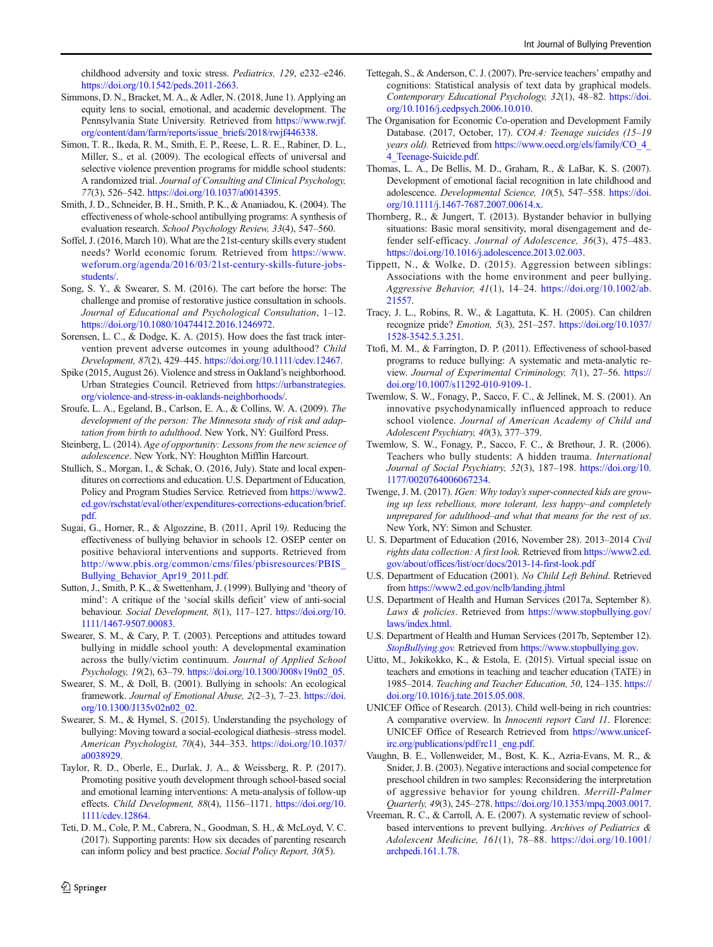<span id="page-19-0"></span>childhood adversity and toxic stress. Pediatrics, 129, e232–e246. <https://doi.org/10.1542/peds.2011-2663>.

- Simmons, D. N., Bracket, M. A., & Adler, N. (2018, June 1). Applying an equity lens to social, emotional, and academic development. The Pennsylvania State University. Retrieved from [https://www.rwjf.](https://www.rwjf.org/content/dam/farm/reports/issue_briefs/2018/rwjf446338) [org/content/dam/farm/reports/issue\\_briefs/2018/rwjf446338.](https://www.rwjf.org/content/dam/farm/reports/issue_briefs/2018/rwjf446338)
- Simon, T. R., Ikeda, R. M., Smith, E. P., Reese, L. R. E., Rabiner, D. L., Miller, S., et al. (2009). The ecological effects of universal and selective violence prevention programs for middle school students: A randomized trial. Journal of Consulting and Clinical Psychology, 77(3), 526–542. [https://doi.org/10.1037/a0014395.](https://doi.org/10.1037/a0014395)
- Smith, J. D., Schneider, B. H., Smith, P. K., & Ananiadou, K. (2004). The effectiveness of whole-school antibullying programs: A synthesis of evaluation research. School Psychology Review, 33(4), 547–560.
- Soffel, J. (2016, March 10). What are the 21st-century skills every student needs? World economic forum. Retrieved from [https://www.](https://www.weforum.org/agenda/2016/03/21st-century-skills-future-jobs-students/) [weforum.org/agenda/2016/03/21st-century-skills-future-jobs](https://www.weforum.org/agenda/2016/03/21st-century-skills-future-jobs-students/)[students/.](https://www.weforum.org/agenda/2016/03/21st-century-skills-future-jobs-students/)
- Song, S. Y., & Swearer, S. M. (2016). The cart before the horse: The challenge and promise of restorative justice consultation in schools. Journal of Educational and Psychological Consultation, 1–12. [https://doi.org/10.1080/10474412.2016.1246972.](https://doi.org/10.1080/10474412.2016.1246972)
- Sorensen, L. C., & Dodge, K. A. (2015). How does the fast track intervention prevent adverse outcomes in young adulthood? Child Development, 87(2), 429–445. <https://doi.org/10.1111/cdev.12467>.
- Spike (2015, August 26). Violence and stress in Oakland's neighborhood. Urban Strategies Council. Retrieved from [https://urbanstrategies.](https://urbanstrategies.org/violence-and-stress-in-oaklands-neighborhoods/) [org/violence-and-stress-in-oaklands-neighborhoods/](https://urbanstrategies.org/violence-and-stress-in-oaklands-neighborhoods/).
- Sroufe, L. A., Egeland, B., Carlson, E. A., & Collins, W. A. (2009). The development of the person: The Minnesota study of risk and adaptation from birth to adulthood. New York, NY: Guilford Press.
- Steinberg, L. (2014). Age of opportunity: Lessons from the new science of adolescence. New York, NY: Houghton Mifflin Harcourt.
- Stullich, S., Morgan, I., & Schak, O. (2016, July). State and local expenditures on corrections and education. U.S. Department of Education, Policy and Program Studies Service. Retrieved from [https://www2.](https://www2.ed.gov/rschstat/eval/other/expenditures-corrections-education/brief.pdf) [ed.gov/rschstat/eval/other/expenditures-corrections-education/brief.](https://www2.ed.gov/rschstat/eval/other/expenditures-corrections-education/brief.pdf) [pdf.](https://www2.ed.gov/rschstat/eval/other/expenditures-corrections-education/brief.pdf)
- Sugai, G., Horner, R., & Algozzine, B. (2011, April 19). Reducing the effectiveness of bullying behavior in schools 12. OSEP center on positive behavioral interventions and supports. Retrieved from [http://www.pbis.org/common/cms/files/pbisresources/PBIS\\_](http://www.pbis.org/common/cms/files/pbisresources/PBIS_Bullying_Behavior_Apr19_2011.pdf) [Bullying\\_Behavior\\_Apr19\\_2011.pdf](http://www.pbis.org/common/cms/files/pbisresources/PBIS_Bullying_Behavior_Apr19_2011.pdf).
- Sutton, J., Smith, P. K., & Swettenham, J. (1999). Bullying and 'theory of mind': A critique of the 'social skills deficit' view of anti-social behaviour. Social Development, 8(1), 117–127. [https://doi.org/10.](https://doi.org/10.1111/1467-9507.00083) [1111/1467-9507.00083](https://doi.org/10.1111/1467-9507.00083).
- Swearer, S. M., & Cary, P. T. (2003). Perceptions and attitudes toward bullying in middle school youth: A developmental examination across the bully/victim continuum. Journal of Applied School Psychology, 19(2), 63–79. [https://doi.org/10.1300/J008v19n02\\_05](https://doi.org/10.1300/J008v19n02_05).
- Swearer, S. M., & Doll, B. (2001). Bullying in schools: An ecological framework. Journal of Emotional Abuse, 2(2-3), 7-23. [https://doi.](https://doi.org/10.1300/J135v02n02_02) [org/10.1300/J135v02n02\\_02.](https://doi.org/10.1300/J135v02n02_02)
- Swearer, S. M., & Hymel, S. (2015). Understanding the psychology of bullying: Moving toward a social-ecological diathesis–stress model. American Psychologist, 70(4), 344–353. [https://doi.org/10.1037/](https://doi.org/10.1037/a0038929) [a0038929.](https://doi.org/10.1037/a0038929)
- Taylor, R. D., Oberle, E., Durlak, J. A., & Weissberg, R. P. (2017). Promoting positive youth development through school-based social and emotional learning interventions: A meta-analysis of follow-up effects. Child Development, 88(4), 1156–1171. [https://doi.org/10.](https://doi.org/10.1111/cdev.12864) [1111/cdev.12864.](https://doi.org/10.1111/cdev.12864)
- Teti, D. M., Cole, P. M., Cabrera, N., Goodman, S. H., & McLoyd, V. C. (2017). Supporting parents: How six decades of parenting research can inform policy and best practice. Social Policy Report, 30(5).
- Tettegah, S., & Anderson, C. J. (2007). Pre-service teachers' empathy and cognitions: Statistical analysis of text data by graphical models. Contemporary Educational Psychology, 32(1), 48–82. [https://doi.](https://doi.org/10.1016/j.cedpsych.2006.10.010) [org/10.1016/j.cedpsych.2006.10.010](https://doi.org/10.1016/j.cedpsych.2006.10.010).
- The Organisation for Economic Co-operation and Development Family Database. (2017, October, 17). CO4.4: Teenage suicides (15–19 years old). Retrieved from https://www.oecd.org/els/family/CO\_4 [4\\_Teenage-Suicide.pdf.](https://www.oecd.org/els/family/CO_4_4_Teenage-Suicide.pdf)
- Thomas, L. A., De Bellis, M. D., Graham, R., & LaBar, K. S. (2007). Development of emotional facial recognition in late childhood and adolescence. Developmental Science, 10(5), 547–558. [https://doi.](https://doi.org/10.1111/j.1467-7687.2007.00614.x) [org/10.1111/j.1467-7687.2007.00614.x.](https://doi.org/10.1111/j.1467-7687.2007.00614.x)
- Thornberg, R., & Jungert, T. (2013). Bystander behavior in bullying situations: Basic moral sensitivity, moral disengagement and defender self-efficacy. Journal of Adolescence, 36(3), 475–483. [https://doi.org/10.1016/j.adolescence.2013.02.003.](https://doi.org/10.1016/j.adolescence.2013.02.003)
- Tippett, N., & Wolke, D. (2015). Aggression between siblings: Associations with the home environment and peer bullying. Aggressive Behavior, 41(1), 14–24. [https://doi.org/10.1002/ab.](https://doi.org/10.1002/ab.21557) [21557.](https://doi.org/10.1002/ab.21557)
- Tracy, J. L., Robins, R. W., & Lagattuta, K. H. (2005). Can children recognize pride? Emotion, 5(3), 251–257. [https://doi.org/10.1037/](https://doi.org/10.1037/1528-3542.5.3.251) [1528-3542.5.3.251.](https://doi.org/10.1037/1528-3542.5.3.251)
- Ttofi, M. M., & Farrington, D. P. (2011). Effectiveness of school-based programs to reduce bullying: A systematic and meta-analytic review. Journal of Experimental Criminology, 7(1), 27-56. [https://](https://doi.org/10.1007/s11292-010-9109-1) [doi.org/10.1007/s11292-010-9109-1](https://doi.org/10.1007/s11292-010-9109-1).
- Twemlow, S. W., Fonagy, P., Sacco, F. C., & Jellinek, M. S. (2001). An innovative psychodynamically influenced approach to reduce school violence. Journal of American Academy of Child and Adolescent Psychiatry, 40(3), 377–379.
- Twemlow, S. W., Fonagy, P., Sacco, F. C., & Brethour, J. R. (2006). Teachers who bully students: A hidden trauma. International Journal of Social Psychiatry, 52(3), 187–198. [https://doi.org/10.](https://doi.org/10.1177/0020764006067234) [1177/0020764006067234.](https://doi.org/10.1177/0020764006067234)
- Twenge, J. M. (2017). IGen: Why today's super-connected kids are growing up less rebellious, more tolerant, less happy–and completely unprepared for adulthood–and what that means for the rest of us. New York, NY: Simon and Schuster.
- U. S. Department of Education (2016, November 28). 2013–2014 Civil rights data collection: A first look. Retrieved from [https://www2.ed.](https://www2.ed.gov/about/offices/list/ocr/docs/2013-14-first-look.pdf) [gov/about/offices/list/ocr/docs/2013-14-first-look.pdf](https://www2.ed.gov/about/offices/list/ocr/docs/2013-14-first-look.pdf)
- U.S. Department of Education (2001). No Child Left Behind. Retrieved from <https://www2.ed.gov/nclb/landing.jhtml>
- U.S. Department of Health and Human Services (2017a, September 8). Laws & policies. Retrieved from [https://www.stopbullying.gov/](https://www.stopbullying.gov/laws/index.html) [laws/index.html](https://www.stopbullying.gov/laws/index.html).
- U.S. Department of Health and Human Services (2017b, September 12). [StopBullying.gov.](http://stopbullying.gov) Retrieved from [https://www.stopbullying.gov.](https://www.stopbullying.gov)
- Uitto, M., Jokikokko, K., & Estola, E. (2015). Virtual special issue on teachers and emotions in teaching and teacher education (TATE) in 1985–2014. Teaching and Teacher Education, 50, 124–135. [https://](https://doi.org/10.1016/j.tate.2015.05.008) [doi.org/10.1016/j.tate.2015.05.008.](https://doi.org/10.1016/j.tate.2015.05.008)
- UNICEF Office of Research. (2013). Child well-being in rich countries: A comparative overview. In Innocenti report Card 11. Florence: UNICEF Office of Research Retrieved from [https://www.unicef](https://www.unicef-irc.org/publications/pdf/rc11_eng.pdf)[irc.org/publications/pdf/rc11\\_eng.pdf.](https://www.unicef-irc.org/publications/pdf/rc11_eng.pdf)
- Vaughn, B. E., Vollenweider, M., Bost, K. K., Azria-Evans, M. R., & Snider, J. B. (2003). Negative interactions and social competence for preschool children in two samples: Reconsidering the interpretation of aggressive behavior for young children. Merrill-Palmer Quarterly, 49(3), 245–278. <https://doi.org/10.1353/mpq.2003.0017>.
- Vreeman, R. C., & Carroll, A. E. (2007). A systematic review of schoolbased interventions to prevent bullying. Archives of Pediatrics & Adolescent Medicine, 161(1), 78–88. [https://doi.org/10.1001/](https://doi.org/10.1001/archpedi.161.1.78) [archpedi.161.1.78](https://doi.org/10.1001/archpedi.161.1.78).